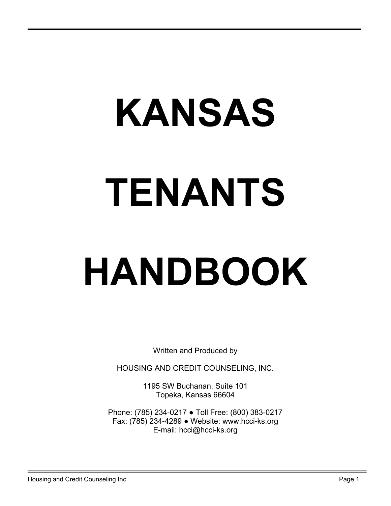# KANSAS TENANTS

# HANDBOOK

Written and Produced by

HOUSING AND CREDIT COUNSELING, INC.

1195 SW Buchanan, Suite 101 Topeka, Kansas 66604

Phone: (785) 234-0217 ● Toll Free: (800) 383-0217 Fax: (785) 234-4289 ● Website: www.hcci-ks.org E-mail: hcci@hcci-ks.org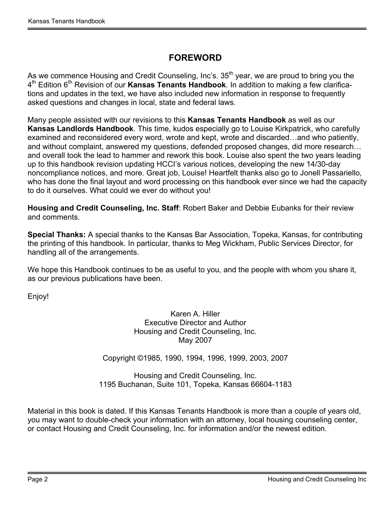#### FOREWORD

As we commence Housing and Credit Counseling, Inc's. 35<sup>th</sup> year, we are proud to bring you the 4<sup>th</sup> Edition 6<sup>th</sup> Revision of our **Kansas Tenants Handbook**. In addition to making a few clarifications and updates in the text, we have also included new information in response to frequently asked questions and changes in local, state and federal laws.

Many people assisted with our revisions to this Kansas Tenants Handbook as well as our Kansas Landlords Handbook. This time, kudos especially go to Louise Kirkpatrick, who carefully examined and reconsidered every word, wrote and kept, wrote and discarded…and who patiently, and without complaint, answered my questions, defended proposed changes, did more research… and overall took the lead to hammer and rework this book. Louise also spent the two years leading up to this handbook revision updating HCCI's various notices, developing the new 14/30-day noncompliance notices, and more. Great job, Louise! Heartfelt thanks also go to Jonell Passariello, who has done the final layout and word processing on this handbook ever since we had the capacity to do it ourselves. What could we ever do without you!

Housing and Credit Counseling, Inc. Staff: Robert Baker and Debbie Eubanks for their review and comments.

Special Thanks: A special thanks to the Kansas Bar Association, Topeka, Kansas, for contributing the printing of this handbook. In particular, thanks to Meg Wickham, Public Services Director, for handling all of the arrangements.

We hope this Handbook continues to be as useful to you, and the people with whom you share it, as our previous publications have been.

Enjoy!

Karen A. Hiller Executive Director and Author Housing and Credit Counseling, Inc. May 2007

Copyright ©1985, 1990, 1994, 1996, 1999, 2003, 2007

Housing and Credit Counseling, Inc. 1195 Buchanan, Suite 101, Topeka, Kansas 66604-1183

Material in this book is dated. If this Kansas Tenants Handbook is more than a couple of years old, you may want to double-check your information with an attorney, local housing counseling center, or contact Housing and Credit Counseling, Inc. for information and/or the newest edition.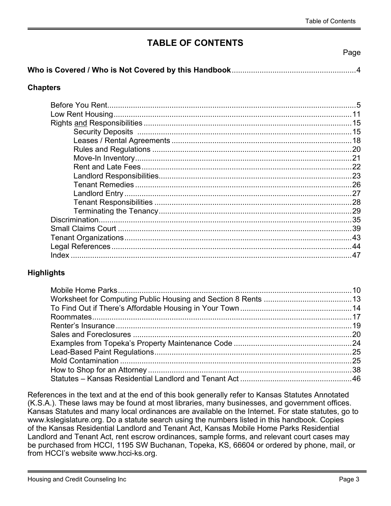#### TABLE OF CONTENTS

Page

|--|--|

#### **Chapters**

| .21 |
|-----|
|     |
|     |
|     |
|     |
|     |
|     |
| 35  |
|     |
|     |
|     |
|     |

#### **Highlights**

References in the text and at the end of this book generally refer to Kansas Statutes Annotated (K.S.A.). These laws may be found at most libraries, many businesses, and government offices. Kansas Statutes and many local ordinances are available on the Internet. For state statutes, go to www.kslegislature.org. Do a statute search using the numbers listed in this handbook. Copies of the Kansas Residential Landlord and Tenant Act, Kansas Mobile Home Parks Residential Landlord and Tenant Act, rent escrow ordinances, sample forms, and relevant court cases may be purchased from HCCI, 1195 SW Buchanan, Topeka, KS, 66604 or ordered by phone, mail, or from HCCI's website www.hcci-ks.org.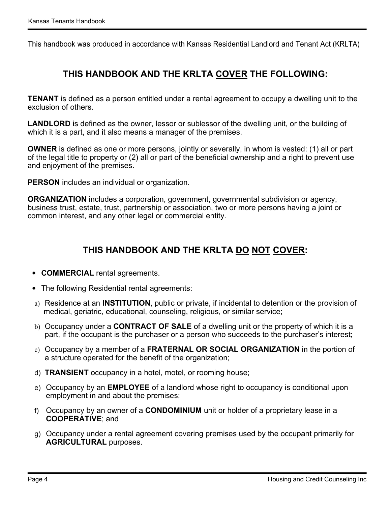This handbook was produced in accordance with Kansas Residential Landlord and Tenant Act (KRLTA)

#### THIS HANDBOOK AND THE KRLTA COVER THE FOLLOWING:

**TENANT** is defined as a person entitled under a rental agreement to occupy a dwelling unit to the exclusion of others.

LANDLORD is defined as the owner, lessor or sublessor of the dwelling unit, or the building of which it is a part, and it also means a manager of the premises.

OWNER is defined as one or more persons, jointly or severally, in whom is vested: (1) all or part of the legal title to property or (2) all or part of the beneficial ownership and a right to prevent use and enjoyment of the premises.

PERSON includes an individual or organization.

ORGANIZATION includes a corporation, government, governmental subdivision or agency, business trust, estate, trust, partnership or association, two or more persons having a joint or common interest, and any other legal or commercial entity.

#### THIS HANDBOOK AND THE KRLTA DO NOT COVER:

- COMMERCIAL rental agreements.
- The following Residential rental agreements:
- a) Residence at an INSTITUTION, public or private, if incidental to detention or the provision of medical, geriatric, educational, counseling, religious, or similar service;
- b) Occupancy under a **CONTRACT OF SALE** of a dwelling unit or the property of which it is a part, if the occupant is the purchaser or a person who succeeds to the purchaser's interest;
- c) Occupancy by a member of a FRATERNAL OR SOCIAL ORGANIZATION in the portion of a structure operated for the benefit of the organization;
- d) TRANSIENT occupancy in a hotel, motel, or rooming house;
- e) Occupancy by an EMPLOYEE of a landlord whose right to occupancy is conditional upon employment in and about the premises;
- f) Occupancy by an owner of a CONDOMINIUM unit or holder of a proprietary lease in a COOPERATIVE; and
- g) Occupancy under a rental agreement covering premises used by the occupant primarily for AGRICULTURAL purposes.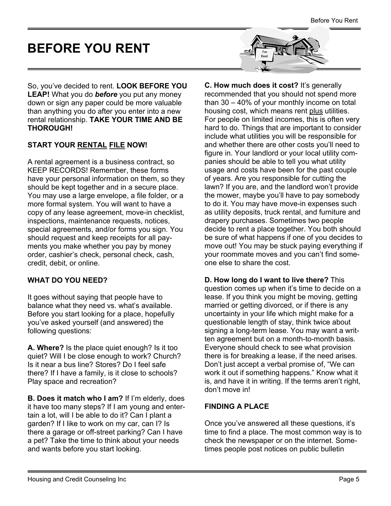## <span id="page-4-0"></span>BEFORE YOU RENT

So, you've decided to rent. LOOK BEFORE YOU LEAP! What you do before you put any money down or sign any paper could be more valuable than anything you do after you enter into a new rental relationship. TAKE YOUR TIME AND BE THOROUGH!

#### START YOUR RENTAL FILE NOW!

A rental agreement is a business contract, so KEEP RECORDS! Remember, these forms have your personal information on them, so they should be kept together and in a secure place. You may use a large envelope, a file folder, or a more formal system. You will want to have a copy of any lease agreement, move-in checklist, inspections, maintenance requests, notices, special agreements, and/or forms you sign. You should request and keep receipts for all payments you make whether you pay by money order, cashier's check, personal check, cash, credit, debit, or online.

#### WHAT DO YOU NEED?

It goes without saying that people have to balance what they need vs. what's available. Before you start looking for a place, hopefully you've asked yourself (and answered) the following questions:

A. Where? Is the place quiet enough? Is it too quiet? Will I be close enough to work? Church? Is it near a bus line? Stores? Do I feel safe there? If I have a family, is it close to schools? Play space and recreation?

B. Does it match who I am? If I'm elderly, does it have too many steps? If I am young and entertain a lot, will I be able to do it? Can I plant a garden? If I like to work on my car, can I? Is there a garage or off-street parking? Can I have a pet? Take the time to think about your needs and wants before you start looking.



C. How much does it cost? It's generally recommended that you should not spend more than 30 – 40% of your monthly income on total housing cost, which means rent plus utilities. For people on limited incomes, this is often very hard to do. Things that are important to consider include what utilities you will be responsible for and whether there are other costs you'll need to figure in. Your landlord or your local utility companies should be able to tell you what utility usage and costs have been for the past couple of years. Are you responsible for cutting the lawn? If you are, and the landlord won't provide the mower, maybe you'll have to pay somebody to do it. You may have move-in expenses such as utility deposits, truck rental, and furniture and drapery purchases. Sometimes two people decide to rent a place together. You both should be sure of what happens if one of you decides to move out! You may be stuck paying everything if your roommate moves and you can't find someone else to share the cost.

#### D. How long do I want to live there? This question comes up when it's time to decide on a lease. If you think you might be moving, getting married or getting divorced, or if there is any uncertainty in your life which might make for a questionable length of stay, think twice about signing a long-term lease. You may want a written agreement but on a month-to-month basis. Everyone should check to see what provision there is for breaking a lease, if the need arises. Don't just accept a verbal promise of, "We can work it out if something happens." Know what it is, and have it in writing. If the terms aren't right, don't move in!

#### FINDING A PLACE

Once you've answered all these questions, it's time to find a place. The most common way is to check the newspaper or on the internet. Sometimes people post notices on public bulletin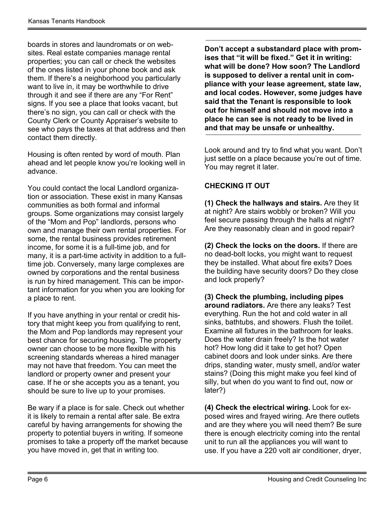boards in stores and laundromats or on websites. Real estate companies manage rental properties; you can call or check the websites of the ones listed in your phone book and ask them. If there's a neighborhood you particularly want to live in, it may be worthwhile to drive through it and see if there are any "For Rent" signs. If you see a place that looks vacant, but there's no sign, you can call or check with the County Clerk or County Appraiser's website to see who pays the taxes at that address and then contact them directly.

Housing is often rented by word of mouth. Plan ahead and let people know you're looking well in advance.

You could contact the local Landlord organization or association. These exist in many Kansas communities as both formal and informal groups. Some organizations may consist largely of the "Mom and Pop" landlords, persons who own and manage their own rental properties. For some, the rental business provides retirement income, for some it is a full-time job, and for many, it is a part-time activity in addition to a fulltime job. Conversely, many large complexes are owned by corporations and the rental business is run by hired management. This can be important information for you when you are looking for a place to rent.

If you have anything in your rental or credit history that might keep you from qualifying to rent, the Mom and Pop landlords may represent your best chance for securing housing. The property owner can choose to be more flexible with his screening standards whereas a hired manager may not have that freedom. You can meet the landlord or property owner and present your case. If he or she accepts you as a tenant, you should be sure to live up to your promises.

Be wary if a place is for sale. Check out whether it is likely to remain a rental after sale. Be extra careful by having arrangements for showing the property to potential buyers in writing. If someone promises to take a property off the market because you have moved in, get that in writing too.

Don't accept a substandard place with promises that "it will be fixed." Get it in writing: what will be done? How soon? The Landlord is supposed to deliver a rental unit in compliance with your lease agreement, state law, and local codes. However, some judges have said that the Tenant is responsible to look out for himself and should not move into a place he can see is not ready to be lived in and that may be unsafe or unhealthy.

Look around and try to find what you want. Don't just settle on a place because you're out of time. You may regret it later.

#### CHECKING IT OUT

(1) Check the hallways and stairs. Are they lit at night? Are stairs wobbly or broken? Will you feel secure passing through the halls at night? Are they reasonably clean and in good repair?

(2) Check the locks on the doors. If there are no dead-bolt locks, you might want to request they be installed. What about fire exits? Does the building have security doors? Do they close and lock properly?

(3) Check the plumbing, including pipes around radiators. Are there any leaks? Test everything. Run the hot and cold water in all sinks, bathtubs, and showers. Flush the toilet. Examine all fixtures in the bathroom for leaks. Does the water drain freely? Is the hot water hot? How long did it take to get hot? Open cabinet doors and look under sinks. Are there drips, standing water, musty smell, and/or water stains? (Doing this might make you feel kind of silly, but when do you want to find out, now or later?)

(4) Check the electrical wiring. Look for exposed wires and frayed wiring. Are there outlets and are they where you will need them? Be sure there is enough electricity coming into the rental unit to run all the appliances you will want to use. If you have a 220 volt air conditioner, dryer,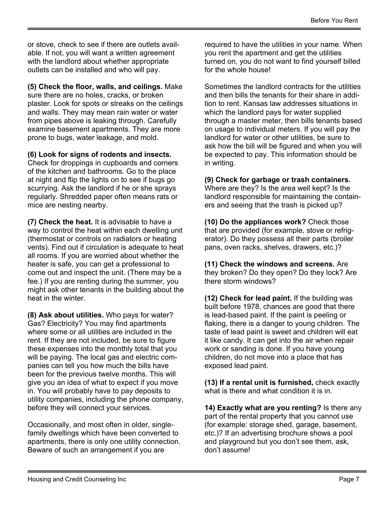or stove, check to see if there are outlets available. If not, you will want a written agreement with the landlord about whether appropriate outlets can be installed and who will pay.

(5) Check the floor, walls, and ceilings. Make sure there are no holes, cracks, or broken plaster. Look for spots or streaks on the ceilings and walls. They may mean rain water or water from pipes above is leaking through. Carefully examine basement apartments. They are more prone to bugs, water leakage, and mold.

(6) Look for signs of rodents and insects.

Check for droppings in cupboards and corners of the kitchen and bathrooms. Go to the place at night and flip the lights on to see if bugs go scurrying. Ask the landlord if he or she sprays regularly. Shredded paper often means rats or mice are nesting nearby.

(7) Check the heat. It is advisable to have a way to control the heat within each dwelling unit (thermostat or controls on radiators or heating vents). Find out if circulation is adequate to heat all rooms. If you are worried about whether the heater is safe, you can get a professional to come out and inspect the unit. (There may be a fee.) If you are renting during the summer, you might ask other tenants in the building about the heat in the winter.

(8) Ask about utilities. Who pays for water? Gas? Electricity? You may find apartments where some or all utilities are included in the rent. If they are not included, be sure to figure these expenses into the monthly total that you will be paying. The local gas and electric companies can tell you how much the bills have been for the previous twelve months. This will give you an idea of what to expect if you move in. You will probably have to pay deposits to utility companies, including the phone company, before they will connect your services.

Occasionally, and most often in older, singlefamily dwellings which have been converted to apartments, there is only one utility connection. Beware of such an arrangement if you are

required to have the utilities in your name. When you rent the apartment and get the utilities turned on, you do not want to find yourself billed for the whole house!

Sometimes the landlord contracts for the utilities and then bills the tenants for their share in addition to rent. Kansas law addresses situations in which the landlord pays for water supplied through a master meter, then bills tenants based on usage to individual meters. If you will pay the landlord for water or other utilities, be sure to ask how the bill will be figured and when you will be expected to pay. This information should be in writing.

(9) Check for garbage or trash containers. Where are they? Is the area well kept? Is the landlord responsible for maintaining the containers and seeing that the trash is picked up?

(10) Do the appliances work? Check those that are provided (for example, stove or refrigerator). Do they possess all their parts (broiler pans, oven racks, shelves, drawers, etc.)?

(11) Check the windows and screens. Are they broken? Do they open? Do they lock? Are there storm windows?

(12) Check for lead paint. If the building was built before 1978, chances are good that there is lead-based paint. If the paint is peeling or flaking, there is a danger to young children. The taste of lead paint is sweet and children will eat it like candy. It can get into the air when repair work or sanding is done. If you have young children, do not move into a place that has exposed lead paint.

(13) If a rental unit is furnished, check exactly what is there and what condition it is in.

14) Exactly what are you renting? Is there any part of the rental property that you cannot use (for example: storage shed, garage, basement, etc.)? If an advertising brochure shows a pool and playground but you don't see them, ask, don't assume!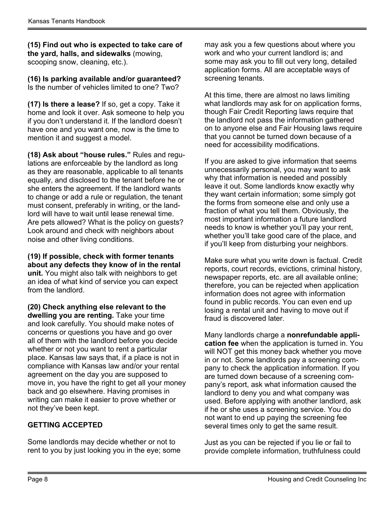(15) Find out who is expected to take care of the yard, halls, and sidewalks (mowing, scooping snow, cleaning, etc.).

(16) Is parking available and/or guaranteed? Is the number of vehicles limited to one? Two?

(17) Is there a lease? If so, get a copy. Take it home and look it over. Ask someone to help you if you don't understand it. If the landlord doesn't have one and you want one, now is the time to mention it and suggest a model.

(18) Ask about "house rules." Rules and regulations are enforceable by the landlord as long as they are reasonable, applicable to all tenants equally, and disclosed to the tenant before he or she enters the agreement. If the landlord wants to change or add a rule or regulation, the tenant must consent, preferably in writing, or the landlord will have to wait until lease renewal time. Are pets allowed? What is the policy on guests? Look around and check with neighbors about noise and other living conditions.

(19) If possible, check with former tenants about any defects they know of in the rental unit. You might also talk with neighbors to get an idea of what kind of service you can expect from the landlord.

(20) Check anything else relevant to the dwelling you are renting. Take your time and look carefully. You should make notes of concerns or questions you have and go over all of them with the landlord before you decide whether or not you want to rent a particular place. Kansas law says that, if a place is not in compliance with Kansas law and/or your rental agreement on the day you are supposed to move in, you have the right to get all your money back and go elsewhere. Having promises in writing can make it easier to prove whether or not they've been kept.

#### GETTING ACCEPTED

Some landlords may decide whether or not to rent to you by just looking you in the eye; some may ask you a few questions about where you work and who your current landlord is; and some may ask you to fill out very long, detailed application forms. All are acceptable ways of screening tenants.

At this time, there are almost no laws limiting what landlords may ask for on application forms, though Fair Credit Reporting laws require that the landlord not pass the information gathered on to anyone else and Fair Housing laws require that you cannot be turned down because of a need for accessibility modifications.

If you are asked to give information that seems unnecessarily personal, you may want to ask why that information is needed and possibly leave it out. Some landlords know exactly why they want certain information; some simply got the forms from someone else and only use a fraction of what you tell them. Obviously, the most important information a future landlord needs to know is whether you'll pay your rent, whether you'll take good care of the place, and if you'll keep from disturbing your neighbors.

Make sure what you write down is factual. Credit reports, court records, evictions, criminal history, newspaper reports, etc. are all available online; therefore, you can be rejected when application information does not agree with information found in public records. You can even end up losing a rental unit and having to move out if fraud is discovered later.

Many landlords charge a nonrefundable application fee when the application is turned in. You will NOT get this money back whether you move in or not. Some landlords pay a screening company to check the application information. If you are turned down because of a screening company's report, ask what information caused the landlord to deny you and what company was used. Before applying with another landlord, ask if he or she uses a screening service. You do not want to end up paying the screening fee several times only to get the same result.

Just as you can be rejected if you lie or fail to provide complete information, truthfulness could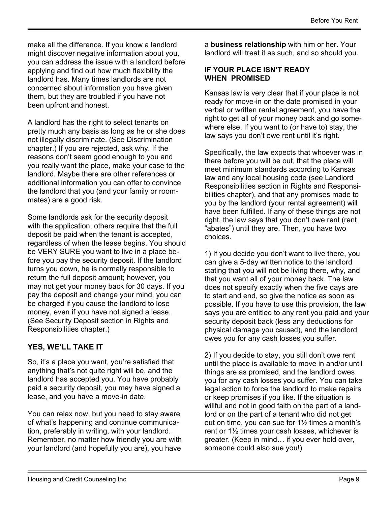make all the difference. If you know a landlord might discover negative information about you, you can address the issue with a landlord before applying and find out how much flexibility the landlord has. Many times landlords are not concerned about information you have given them, but they are troubled if you have not been upfront and honest.

A landlord has the right to select tenants on pretty much any basis as long as he or she does not illegally discriminate. (See Discrimination chapter.) If you are rejected, ask why. If the reasons don't seem good enough to you and you really want the place, make your case to the landlord. Maybe there are other references or additional information you can offer to convince the landlord that you (and your family or roommates) are a good risk.

Some landlords ask for the security deposit with the application, others require that the full deposit be paid when the tenant is accepted, regardless of when the lease begins. You should be VERY SURE you want to live in a place before you pay the security deposit. If the landlord turns you down, he is normally responsible to return the full deposit amount; however, you may not get your money back for 30 days. If you pay the deposit and change your mind, you can be charged if you cause the landlord to lose money, even if you have not signed a lease. (See Security Deposit section in Rights and Responsibilities chapter.)

#### YES, WE'LL TAKE IT

So, it's a place you want, you're satisfied that anything that's not quite right will be, and the landlord has accepted you. You have probably paid a security deposit, you may have signed a lease, and you have a move-in date.

You can relax now, but you need to stay aware of what's happening and continue communication, preferably in writing, with your landlord. Remember, no matter how friendly you are with your landlord (and hopefully you are), you have a business relationship with him or her. Your landlord will treat it as such, and so should you.

#### IF YOUR PLACE ISN'T READY WHEN PROMISED

Kansas law is very clear that if your place is not ready for move-in on the date promised in your verbal or written rental agreement, you have the right to get all of your money back and go somewhere else. If you want to (or have to) stay, the law says you don't owe rent until it's right.

Specifically, the law expects that whoever was in there before you will be out, that the place will meet minimum standards according to Kansas law and any local housing code (see Landlord Responsibilities section in Rights and Responsibilities chapter), and that any promises made to you by the landlord (your rental agreement) will have been fulfilled. If any of these things are not right, the law says that you don't owe rent (rent "abates") until they are. Then, you have two choices.

1) If you decide you don't want to live there, you can give a 5-day written notice to the landlord stating that you will not be living there, why, and that you want all of your money back. The law does not specify exactly when the five days are to start and end, so give the notice as soon as possible. If you have to use this provision, the law says you are entitled to any rent you paid and your security deposit back (less any deductions for physical damage you caused), and the landlord owes you for any cash losses you suffer.

2) If you decide to stay, you still don't owe rent until the place is available to move in and/or until things are as promised, and the landlord owes you for any cash losses you suffer. You can take legal action to force the landlord to make repairs or keep promises if you like. If the situation is willful and not in good faith on the part of a landlord or on the part of a tenant who did not get out on time, you can sue for 1½ times a month's rent or 1½ times your cash losses, whichever is greater. (Keep in mind… if you ever hold over, someone could also sue you!)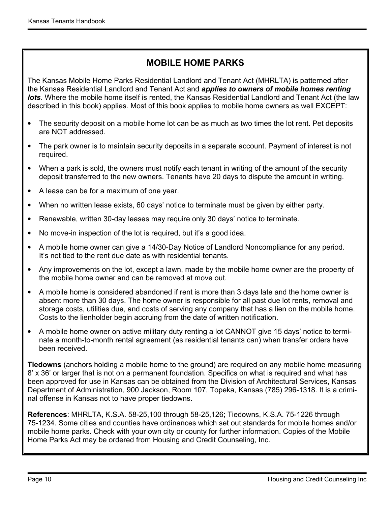#### MOBILE HOME PARKS

The Kansas Mobile Home Parks Residential Landlord and Tenant Act (MHRLTA) is patterned after the Kansas Residential Landlord and Tenant Act and *applies to owners of mobile homes renting* lots. Where the mobile home itself is rented, the Kansas Residential Landlord and Tenant Act (the law described in this book) applies. Most of this book applies to mobile home owners as well EXCEPT:

- The security deposit on a mobile home lot can be as much as two times the lot rent. Pet deposits are NOT addressed.
- The park owner is to maintain security deposits in a separate account. Payment of interest is not required.
- When a park is sold, the owners must notify each tenant in writing of the amount of the security deposit transferred to the new owners. Tenants have 20 days to dispute the amount in writing.
- A lease can be for a maximum of one year.
- When no written lease exists, 60 days' notice to terminate must be given by either party.
- Renewable, written 30-day leases may require only 30 days' notice to terminate.
- No move-in inspection of the lot is required, but it's a good idea.
- A mobile home owner can give a 14/30-Day Notice of Landlord Noncompliance for any period. It's not tied to the rent due date as with residential tenants.
- Any improvements on the lot, except a lawn, made by the mobile home owner are the property of the mobile home owner and can be removed at move out.
- A mobile home is considered abandoned if rent is more than 3 days late and the home owner is absent more than 30 days. The home owner is responsible for all past due lot rents, removal and storage costs, utilities due, and costs of serving any company that has a lien on the mobile home. Costs to the lienholder begin accruing from the date of written notification.
- A mobile home owner on active military duty renting a lot CANNOT give 15 days' notice to terminate a month-to-month rental agreement (as residential tenants can) when transfer orders have been received.

Tiedowns (anchors holding a mobile home to the ground) are required on any mobile home measuring 8' x 36' or larger that is not on a permanent foundation. Specifics on what is required and what has been approved for use in Kansas can be obtained from the Division of Architectural Services, Kansas Department of Administration, 900 Jackson, Room 107, Topeka, Kansas (785) 296-1318. It is a criminal offense in Kansas not to have proper tiedowns.

References: MHRLTA, K.S.A. 58-25,100 through 58-25,126; Tiedowns, K.S.A. 75-1226 through 75-1234. Some cities and counties have ordinances which set out standards for mobile homes and/or mobile home parks. Check with your own city or county for further information. Copies of the Mobile Home Parks Act may be ordered from Housing and Credit Counseling, Inc.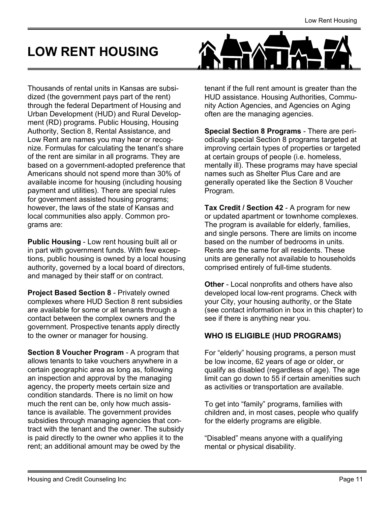## <span id="page-10-0"></span>LOW RENT HOUSING

Thousands of rental units in Kansas are subsidized (the government pays part of the rent) through the federal Department of Housing and Urban Development (HUD) and Rural Development (RD) programs. Public Housing, Housing Authority, Section 8, Rental Assistance, and Low Rent are names you may hear or recognize. Formulas for calculating the tenant's share of the rent are similar in all programs. They are based on a government-adopted preference that Americans should not spend more than 30% of available income for housing (including housing payment and utilities). There are special rules for government assisted housing programs; however, the laws of the state of Kansas and local communities also apply. Common programs are:

Public Housing - Low rent housing built all or in part with government funds. With few exceptions, public housing is owned by a local housing authority, governed by a local board of directors, and managed by their staff or on contract.

Project Based Section 8 - Privately owned complexes where HUD Section 8 rent subsidies are available for some or all tenants through a contact between the complex owners and the government. Prospective tenants apply directly to the owner or manager for housing.

Section 8 Voucher Program - A program that allows tenants to take vouchers anywhere in a certain geographic area as long as, following an inspection and approval by the managing agency, the property meets certain size and condition standards. There is no limit on how much the rent can be, only how much assistance is available. The government provides subsidies through managing agencies that contract with the tenant and the owner. The subsidy is paid directly to the owner who applies it to the rent; an additional amount may be owed by the



tenant if the full rent amount is greater than the HUD assistance. Housing Authorities, Community Action Agencies, and Agencies on Aging often are the managing agencies.

Special Section 8 Programs - There are periodically special Section 8 programs targeted at improving certain types of properties or targeted at certain groups of people (i.e. homeless, mentally ill). These programs may have special names such as Shelter Plus Care and are generally operated like the Section 8 Voucher Program.

Tax Credit / Section 42 - A program for new or updated apartment or townhome complexes. The program is available for elderly, families, and single persons. There are limits on income based on the number of bedrooms in units. Rents are the same for all residents. These units are generally not available to households comprised entirely of full-time students.

Other - Local nonprofits and others have also developed local low-rent programs. Check with your City, your housing authority, or the State (see contact information in box in this chapter) to see if there is anything near you.

#### WHO IS ELIGIBLE (HUD PROGRAMS)

For "elderly" housing programs, a person must be low income, 62 years of age or older, or qualify as disabled (regardless of age). The age limit can go down to 55 if certain amenities such as activities or transportation are available.

To get into "family" programs, families with children and, in most cases, people who qualify for the elderly programs are eligible.

"Disabled" means anyone with a qualifying mental or physical disability.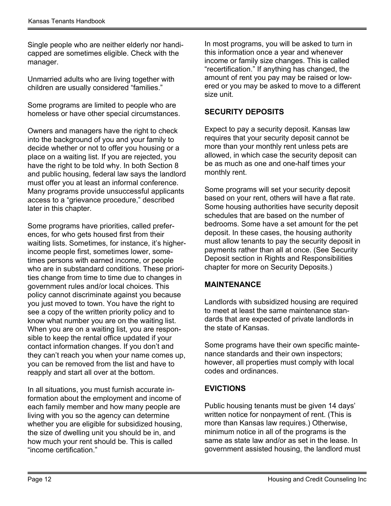Single people who are neither elderly nor handicapped are sometimes eligible. Check with the manager.

Unmarried adults who are living together with children are usually considered "families."

Some programs are limited to people who are homeless or have other special circumstances.

Owners and managers have the right to check into the background of you and your family to decide whether or not to offer you housing or a place on a waiting list. If you are rejected, you have the right to be told why. In both Section 8 and public housing, federal law says the landlord must offer you at least an informal conference. Many programs provide unsuccessful applicants access to a "grievance procedure," described later in this chapter.

Some programs have priorities, called preferences, for who gets housed first from their waiting lists. Sometimes, for instance, it's higherincome people first, sometimes lower, sometimes persons with earned income, or people who are in substandard conditions. These priorities change from time to time due to changes in government rules and/or local choices. This policy cannot discriminate against you because you just moved to town. You have the right to see a copy of the written priority policy and to know what number you are on the waiting list. When you are on a waiting list, you are responsible to keep the rental office updated if your contact information changes. If you don't and they can't reach you when your name comes up, you can be removed from the list and have to reapply and start all over at the bottom.

In all situations, you must furnish accurate information about the employment and income of each family member and how many people are living with you so the agency can determine whether you are eligible for subsidized housing, the size of dwelling unit you should be in, and how much your rent should be. This is called "income certification."

In most programs, you will be asked to turn in this information once a year and whenever income or family size changes. This is called "recertification." If anything has changed, the amount of rent you pay may be raised or lowered or you may be asked to move to a different size unit.

#### SECURITY DEPOSITS

Expect to pay a security deposit. Kansas law requires that your security deposit cannot be more than your monthly rent unless pets are allowed, in which case the security deposit can be as much as one and one-half times your monthly rent.

Some programs will set your security deposit based on your rent, others will have a flat rate. Some housing authorities have security deposit schedules that are based on the number of bedrooms. Some have a set amount for the pet deposit. In these cases, the housing authority must allow tenants to pay the security deposit in payments rather than all at once. (See Security Deposit section in Rights and Responsibilities chapter for more on Security Deposits.)

#### MAINTENANCE

Landlords with subsidized housing are required to meet at least the same maintenance standards that are expected of private landlords in the state of Kansas.

Some programs have their own specific maintenance standards and their own inspectors; however, all properties must comply with local codes and ordinances.

#### EVICTIONS

Public housing tenants must be given 14 days' written notice for nonpayment of rent. (This is more than Kansas law requires.) Otherwise, minimum notice in all of the programs is the same as state law and/or as set in the lease. In government assisted housing, the landlord must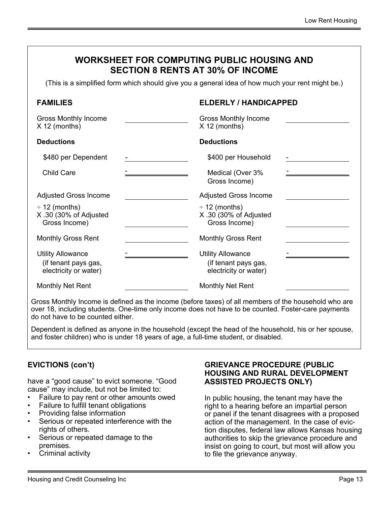| WORKSHEET FOR COMPUTING PUBLIC HOUSING AND<br><b>SECTION 8 RENTS AT 30% OF INCOME</b><br>(This is a simplified form which should give you a general idea of how much your rent might be.) |                                                                           |  |
|-------------------------------------------------------------------------------------------------------------------------------------------------------------------------------------------|---------------------------------------------------------------------------|--|
| <b>FAMILIES</b>                                                                                                                                                                           | <b>ELDERLY / HANDICAPPED</b>                                              |  |
| <b>Gross Monthly Income</b><br>$X$ 12 (months)                                                                                                                                            | <b>Gross Monthly Income</b><br>$X$ 12 (months)                            |  |
| <b>Deductions</b>                                                                                                                                                                         | <b>Deductions</b>                                                         |  |
| \$480 per Dependent                                                                                                                                                                       | \$400 per Household                                                       |  |
| <b>Child Care</b>                                                                                                                                                                         | Medical (Over 3%<br>Gross Income)                                         |  |
| <b>Adjusted Gross Income</b>                                                                                                                                                              | <b>Adjusted Gross Income</b>                                              |  |
| $\div$ 12 (months)<br>X.30 (30% of Adjusted<br>Gross Income)                                                                                                                              | $\div$ 12 (months)<br>X.30 (30% of Adjusted<br>Gross Income)              |  |
| <b>Monthly Gross Rent</b>                                                                                                                                                                 | <b>Monthly Gross Rent</b>                                                 |  |
| <b>Utility Allowance</b><br>(if tenant pays gas,<br>electricity or water)                                                                                                                 | <b>Utility Allowance</b><br>(if tenant pays gas,<br>electricity or water) |  |
| <b>Monthly Net Rent</b>                                                                                                                                                                   | <b>Monthly Net Rent</b>                                                   |  |

Gross Monthly Income is defined as the income (before taxes) of all members of the household who are over 18, including students. One-time only income does not have to be counted. Foster-care payments do not have to be counted either.

Dependent is defined as anyone in the household (except the head of the household, his or her spouse, and foster children) who is under 18 years of age, a full-time student, or disabled.

#### EVICTIONS (con't)

have a "good cause" to evict someone. "Good cause" may include, but not be limited to:

- Failure to pay rent or other amounts owed
- Failure to fulfill tenant obligations
- Providing false information
- Serious or repeated interference with the rights of others.
- Serious or repeated damage to the premises.
- Criminal activity

#### GRIEVANCE PROCEDURE (PUBLIC HOUSING AND RURAL DEVELOPMENT ASSISTED PROJECTS ONLY)

In public housing, the tenant may have the right to a hearing before an impartial person or panel if the tenant disagrees with a proposed action of the management. In the case of eviction disputes, federal law allows Kansas housing authorities to skip the grievance procedure and insist on going to court, but most will allow you to file the grievance anyway.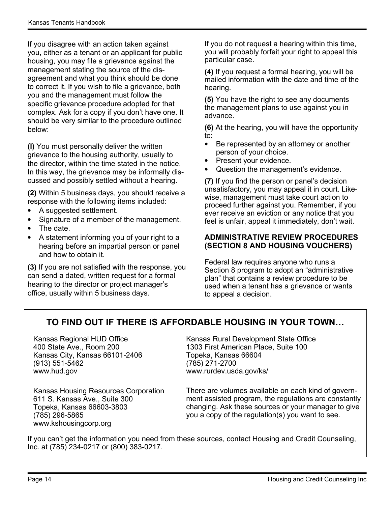If you disagree with an action taken against you, either as a tenant or an applicant for public housing, you may file a grievance against the management stating the source of the disagreement and what you think should be done to correct it. If you wish to file a grievance, both you and the management must follow the specific grievance procedure adopted for that complex. Ask for a copy if you don't have one. It should be very similar to the procedure outlined below:

(l) You must personally deliver the written grievance to the housing authority, usually to the director, within the time stated in the notice. In this way, the grievance may be informally discussed and possibly settled without a hearing.

(2) Within 5 business days, you should receive a response with the following items included:

- A suggested settlement.
- Signature of a member of the management.
- The date.
- A statement informing you of your right to a hearing before an impartial person or panel and how to obtain it.

(3) If you are not satisfied with the response, you can send a dated, written request for a formal hearing to the director or project manager's office, usually within 5 business days.

If you do not request a hearing within this time, you will probably forfeit your right to appeal this particular case.

(4) If you request a formal hearing, you will be mailed information with the date and time of the hearing.

(5) You have the right to see any documents the management plans to use against you in advance.

(6) At the hearing, you will have the opportunity to:

- Be represented by an attorney or another person of your choice.
- Present your evidence.
- Question the management's evidence.

(7) If you find the person or panel's decision unsatisfactory, you may appeal it in court. Likewise, management must take court action to proceed further against you. Remember, if you ever receive an eviction or any notice that you feel is unfair, appeal it immediately, don't wait.

#### ADMINISTRATIVE REVIEW PROCEDURES (SECTION 8 AND HOUSING VOUCHERS)

Federal law requires anyone who runs a Section 8 program to adopt an "administrative plan" that contains a review procedure to be used when a tenant has a grievance or wants to appeal a decision.

#### TO FIND OUT IF THERE IS AFFORDABLE HOUSING IN YOUR TOWN…

Kansas Regional HUD Office 400 State Ave., Room 200 Kansas City, Kansas 66101-2406 (913) 551-5462 www.hud.gov

Kansas Rural Development State Office 1303 First American Place, Suite 100 Topeka, Kansas 66604 (785) 271-2700 www.rurdev.usda.gov/ks/

Kansas Housing Resources Corporation 611 S. Kansas Ave., Suite 300 Topeka, Kansas 66603-3803 (785) 296-5865 www.kshousingcorp.org

There are volumes available on each kind of government assisted program, the regulations are constantly changing. Ask these sources or your manager to give you a copy of the regulation(s) you want to see.

If you can't get the information you need from these sources, contact Housing and Credit Counseling, Inc. at (785) 234-0217 or (800) 383-0217.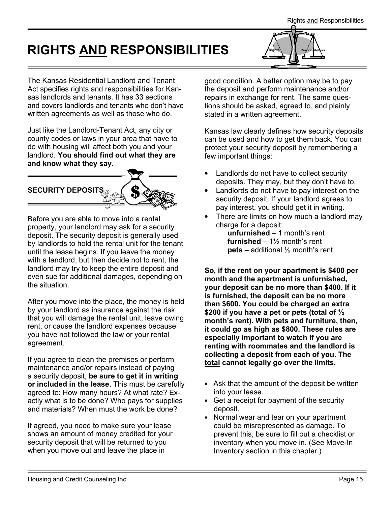# <span id="page-14-0"></span>RIGHTS AND RESPONSIBILITIES



The Kansas Residential Landlord and Tenant Act specifies rights and responsibilities for Kansas landlords and tenants. It has 33 sections and covers landlords and tenants who don't have written agreements as well as those who do.

Just like the Landlord-Tenant Act, any city or county codes or laws in your area that have to do with housing will affect both you and your landlord. You should find out what they are and know what they say.



Before you are able to move into a rental property, your landlord may ask for a security deposit. The security deposit is generally used by landlords to hold the rental unit for the tenant until the lease begins. If you leave the money with a landlord, but then decide not to rent, the landlord may try to keep the entire deposit and even sue for additional damages, depending on the situation.

After you move into the place, the money is held by your landlord as insurance against the risk that you will damage the rental unit, leave owing rent, or cause the landlord expenses because you have not followed the law or your rental agreement.

If you agree to clean the premises or perform maintenance and/or repairs instead of paying a security deposit, be sure to get it in writing or included in the lease. This must be carefully agreed to: How many hours? At what rate? Exactly what is to be done? Who pays for supplies and materials? When must the work be done?

If agreed, you need to make sure your lease shows an amount of money credited for your security deposit that will be returned to you when you move out and leave the place in

good condition. A better option may be to pay the deposit and perform maintenance and/or repairs in exchange for rent. The same questions should be asked, agreed to, and plainly stated in a written agreement.

Kansas law clearly defines how security deposits can be used and how to get them back. You can protect your security deposit by remembering a few important things:

- Landlords do not have to collect security deposits. They may, but they don't have to.
- Landlords do not have to pay interest on the security deposit. If your landlord agrees to pay interest, you should get it in writing.
- There are limits on how much a landlord may charge for a deposit:

unfurnished – 1 month's rent **furnished** –  $1\frac{1}{2}$  month's rent **pets** – additional  $\frac{1}{2}$  month's rent

So, if the rent on your apartment is \$400 per month and the apartment is unfurnished, your deposit can be no more than \$400. If it is furnished, the deposit can be no more than \$600. You could be charged an extra \$200 if you have a pet or pets (total of  $\frac{1}{2}$ month's rent). With pets and furniture, then, it could go as high as \$800. These rules are especially important to watch if you are renting with roommates and the landlord is collecting a deposit from each of you. The total cannot legally go over the limits.

- Ask that the amount of the deposit be written into your lease.
- Get a receipt for payment of the security deposit.
- Normal wear and tear on your apartment could be misrepresented as damage. To prevent this, be sure to fill out a checklist or inventory when you move in. (See Move-In Inventory section in this chapter.)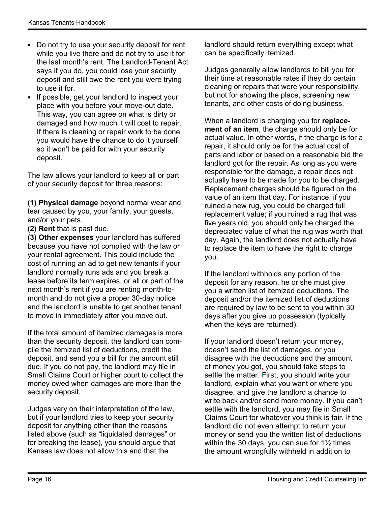- Do not try to use your security deposit for rent while you live there and do not try to use it for the last month's rent. The Landlord-Tenant Act says if you do, you could lose your security deposit and still owe the rent you were trying to use it for.
- If possible, get your landlord to inspect your place with you before your move-out date. This way, you can agree on what is dirty or damaged and how much it will cost to repair. If there is cleaning or repair work to be done, you would have the chance to do it yourself so it won't be paid for with your security deposit.

The law allows your landlord to keep all or part of your security deposit for three reasons:

(1) Physical damage beyond normal wear and tear caused by you, your family, your guests, and/or your pets.

(2) Rent that is past due.

(3) Other expenses your landlord has suffered because you have not complied with the law or your rental agreement. This could include the cost of running an ad to get new tenants if your landlord normally runs ads and you break a lease before its term expires, or all or part of the next month's rent if you are renting month-tomonth and do not give a proper 30-day notice and the landlord is unable to get another tenant to move in immediately after you move out.

If the total amount of itemized damages is more than the security deposit, the landlord can compile the itemized list of deductions, credit the deposit, and send you a bill for the amount still due. If you do not pay, the landlord may file in Small Claims Court or higher court to collect the money owed when damages are more than the security deposit.

Judges vary on their interpretation of the law, but if your landlord tries to keep your security deposit for anything other than the reasons listed above (such as "liquidated damages" or for breaking the lease), you should argue that Kansas law does not allow this and that the

landlord should return everything except what can be specifically itemized.

Judges generally allow landlords to bill you for their time at reasonable rates if they do certain cleaning or repairs that were your responsibility, but not for showing the place, screening new tenants, and other costs of doing business.

When a landlord is charging you for replacement of an item, the charge should only be for actual value. In other words, if the charge is for a repair, it should only be for the actual cost of parts and labor or based on a reasonable bid the landlord got for the repair. As long as you were responsible for the damage, a repair does not actually have to be made for you to be charged. Replacement charges should be figured on the value of an item that day. For instance, if you ruined a new rug, you could be charged full replacement value; if you ruined a rug that was five years old, you should only be charged the depreciated value of what the rug was worth that day. Again, the landlord does not actually have to replace the item to have the right to charge you.

If the landlord withholds any portion of the deposit for any reason, he or she must give you a written list of itemized deductions. The deposit and/or the itemized list of deductions are required by law to be sent to you within 30 days after you give up possession (typically when the keys are returned).

If your landlord doesn't return your money, doesn't send the list of damages, or you disagree with the deductions and the amount of money you got, you should take steps to settle the matter. First, you should write your landlord, explain what you want or where you disagree, and give the landlord a chance to write back and/or send more money. If you can't settle with the landlord, you may file in Small Claims Court for whatever you think is fair. If the landlord did not even attempt to return your money or send you the written list of deductions within the 30 days, you can sue for  $1\frac{1}{2}$  times the amount wrongfully withheld in addition to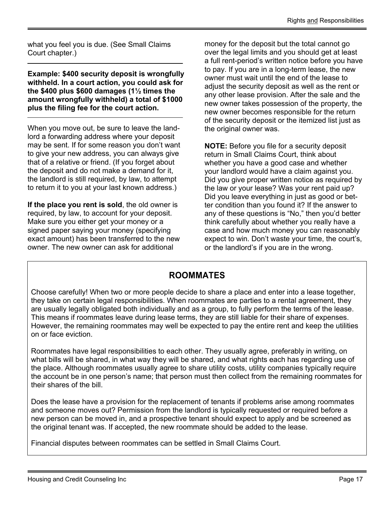what you feel you is due. (See Small Claims Court chapter.)

Example: \$400 security deposit is wrongfully withheld. In a court action, you could ask for the \$400 plus \$600 damages (1½ times the amount wrongfully withheld) a total of \$1000 plus the filing fee for the court action.

When you move out, be sure to leave the landlord a forwarding address where your deposit may be sent. If for some reason you don't want to give your new address, you can always give that of a relative or friend. (If you forget about the deposit and do not make a demand for it, the landlord is still required, by law, to attempt to return it to you at your last known address.)

If the place you rent is sold, the old owner is required, by law, to account for your deposit. Make sure you either get your money or a signed paper saying your money (specifying exact amount) has been transferred to the new owner. The new owner can ask for additional

money for the deposit but the total cannot go over the legal limits and you should get at least a full rent-period's written notice before you have to pay. If you are in a long-term lease, the new owner must wait until the end of the lease to adjust the security deposit as well as the rent or any other lease provision. After the sale and the new owner takes possession of the property, the new owner becomes responsible for the return of the security deposit or the itemized list just as the original owner was.

NOTE: Before you file for a security deposit return in Small Claims Court, think about whether you have a good case and whether your landlord would have a claim against you. Did you give proper written notice as required by the law or your lease? Was your rent paid up? Did you leave everything in just as good or better condition than you found it? If the answer to any of these questions is "No," then you'd better think carefully about whether you really have a case and how much money you can reasonably expect to win. Don't waste your time, the court's, or the landlord's if you are in the wrong.

#### ROOMMATES

Choose carefully! When two or more people decide to share a place and enter into a lease together, they take on certain legal responsibilities. When roommates are parties to a rental agreement, they are usually legally obligated both individually and as a group, to fully perform the terms of the lease. This means if roommates leave during lease terms, they are still liable for their share of expenses. However, the remaining roommates may well be expected to pay the entire rent and keep the utilities on or face eviction.

Roommates have legal responsibilities to each other. They usually agree, preferably in writing, on what bills will be shared, in what way they will be shared, and what rights each has regarding use of the place. Although roommates usually agree to share utility costs, utility companies typically require the account be in one person's name; that person must then collect from the remaining roommates for their shares of the bill.

Does the lease have a provision for the replacement of tenants if problems arise among roommates and someone moves out? Permission from the landlord is typically requested or required before a new person can be moved in, and a prospective tenant should expect to apply and be screened as the original tenant was. If accepted, the new roommate should be added to the lease.

Financial disputes between roommates can be settled in Small Claims Court.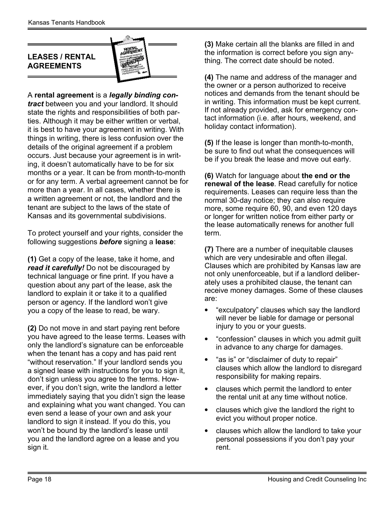#### <span id="page-17-0"></span>LEASES / RENTAL AGREEMENTS



A rental agreement is a legally binding contract between you and your landlord. It should state the rights and responsibilities of both parties. Although it may be either written or verbal, it is best to have your agreement in writing. With things in writing, there is less confusion over the details of the original agreement if a problem occurs. Just because your agreement is in writing, it doesn't automatically have to be for six months or a year. It can be from month-to-month or for any term. A verbal agreement cannot be for more than a year. In all cases, whether there is a written agreement or not, the landlord and the tenant are subject to the laws of the state of Kansas and its governmental subdivisions.

To protect yourself and your rights, consider the following suggestions **before** signing a lease:

(1) Get a copy of the lease, take it home, and read it carefully! Do not be discouraged by technical language or fine print. If you have a question about any part of the lease, ask the landlord to explain it or take it to a qualified person or agency. If the landlord won't give you a copy of the lease to read, be wary.

(2) Do not move in and start paying rent before you have agreed to the lease terms. Leases with only the landlord's signature can be enforceable when the tenant has a copy and has paid rent "without reservation." If your landlord sends you a signed lease with instructions for you to sign it, don't sign unless you agree to the terms. However, if you don't sign, write the landlord a letter immediately saying that you didn't sign the lease and explaining what you want changed. You can even send a lease of your own and ask your landlord to sign it instead. If you do this, you won't be bound by the landlord's lease until you and the landlord agree on a lease and you sign it.

(3) Make certain all the blanks are filled in and the information is correct before you sign anything. The correct date should be noted.

(4) The name and address of the manager and the owner or a person authorized to receive notices and demands from the tenant should be in writing. This information must be kept current. If not already provided, ask for emergency contact information (i.e. after hours, weekend, and holiday contact information).

(5) If the lease is longer than month-to-month, be sure to find out what the consequences will be if you break the lease and move out early.

(6) Watch for language about the end or the renewal of the lease. Read carefully for notice requirements. Leases can require less than the normal 30-day notice; they can also require more, some require 60, 90, and even 120 days or longer for written notice from either party or the lease automatically renews for another full term.

(7) There are a number of inequitable clauses which are very undesirable and often illegal. Clauses which are prohibited by Kansas law are not only unenforceable, but if a landlord deliberately uses a prohibited clause, the tenant can receive money damages. Some of these clauses are:

- "exculpatory" clauses which say the landlord will never be liable for damage or personal injury to you or your guests.
- "confession" clauses in which you admit guilt in advance to any charge for damages.
- "as is" or "disclaimer of duty to repair" clauses which allow the landlord to disregard responsibility for making repairs.
- clauses which permit the landlord to enter the rental unit at any time without notice.
- clauses which give the landlord the right to evict you without proper notice.
- clauses which allow the landlord to take your personal possessions if you don't pay your rent.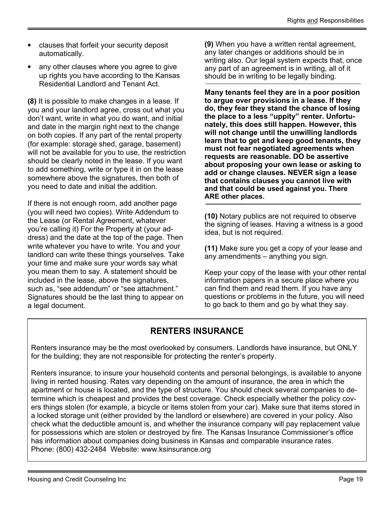- clauses that forfeit your security deposit automatically.
- any other clauses where you agree to give up rights you have according to the Kansas Residential Landlord and Tenant Act.

(8) It is possible to make changes in a lease. If you and your landlord agree, cross out what you don't want, write in what you do want, and initial and date in the margin right next to the change on both copies. If any part of the rental property (for example: storage shed, garage, basement) will not be available for you to use, the restriction should be clearly noted in the lease. If you want to add something, write or type it in on the lease somewhere above the signatures, then both of you need to date and initial the addition.

If there is not enough room, add another page (you will need two copies). Write Addendum to the Lease (or Rental Agreement, whatever you're calling it) For the Property at (your address) and the date at the top of the page. Then write whatever you have to write. You and your landlord can write these things yourselves. Take your time and make sure your words say what you mean them to say. A statement should be included in the lease, above the signatures, such as, "see addendum" or "see attachment." Signatures should be the last thing to appear on a legal document.

(9) When you have a written rental agreement, any later changes or additions should be in writing also. Our legal system expects that, once any part of an agreement is in writing, all of it should be in writing to be legally binding.

Many tenants feel they are in a poor position to argue over provisions in a lease. If they do, they fear they stand the chance of losing the place to a less "uppity" renter. Unfortunately, this does still happen. However, this will not change until the unwilling landlords learn that to get and keep good tenants, they must not fear negotiated agreements when requests are reasonable. DO be assertive about proposing your own lease or asking to add or change clauses. NEVER sign a lease that contains clauses you cannot live with and that could be used against you. There ARE other places.

(10) Notary publics are not required to observe the signing of leases. Having a witness is a good idea, but is not required.

(11) Make sure you get a copy of your lease and any amendments – anything you sign.

Keep your copy of the lease with your other rental information papers in a secure place where you can find them and read them. If you have any questions or problems in the future, you will need to go back to them and go by what they say.

#### RENTERS INSURANCE

Renters insurance may be the most overlooked by consumers. Landlords have insurance, but ONLY for the building; they are not responsible for protecting the renter's property.

Renters insurance, to insure your household contents and personal belongings, is available to anyone living in rented housing. Rates vary depending on the amount of insurance, the area in which the apartment or house is located, and the type of structure. You should check several companies to determine which is cheapest and provides the best coverage. Check especially whether the policy covers things stolen (for example, a bicycle or items stolen from your car). Make sure that items stored in a locked storage unit (either provided by the landlord or elsewhere) are covered in your policy. Also check what the deductible amount is, and whether the insurance company will pay replacement value for possessions which are stolen or destroyed by fire. The Kansas Insurance Commissioner's office has information about companies doing business in Kansas and comparable insurance rates. Phone: (800) 432-2484 Website: www.ksinsurance.org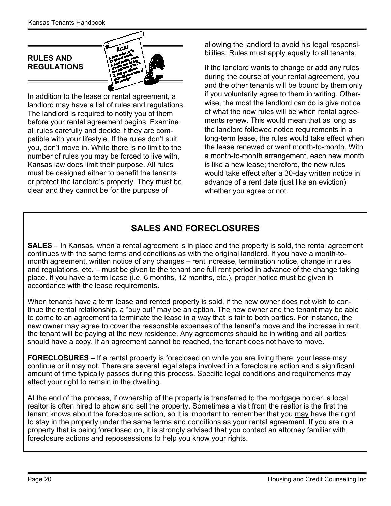<span id="page-19-0"></span>

In addition to the lease or rental agreement, a landlord may have a list of rules and regulations. The landlord is required to notify you of them before your rental agreement begins. Examine all rules carefully and decide if they are compatible with your lifestyle. If the rules don't suit you, don't move in. While there is no limit to the number of rules you may be forced to live with, Kansas law does limit their purpose. All rules must be designed either to benefit the tenants or protect the landlord's property. They must be clear and they cannot be for the purpose of

allowing the landlord to avoid his legal responsibilities. Rules must apply equally to all tenants.

If the landlord wants to change or add any rules during the course of your rental agreement, you and the other tenants will be bound by them only if you voluntarily agree to them in writing. Otherwise, the most the landlord can do is give notice of what the new rules will be when rental agreements renew. This would mean that as long as the landlord followed notice requirements in a long-term lease, the rules would take effect when the lease renewed or went month-to-month. With a month-to-month arrangement, each new month is like a new lease; therefore, the new rules would take effect after a 30-day written notice in advance of a rent date (just like an eviction) whether you agree or not.

#### SALES AND FORECLOSURES

SALES – In Kansas, when a rental agreement is in place and the property is sold, the rental agreement continues with the same terms and conditions as with the original landlord. If you have a month-tomonth agreement, written notice of any changes – rent increase, termination notice, change in rules and regulations, etc. – must be given to the tenant one full rent period in advance of the change taking place. If you have a term lease (i.e. 6 months, 12 months, etc.), proper notice must be given in accordance with the lease requirements.

When tenants have a term lease and rented property is sold, if the new owner does not wish to continue the rental relationship, a "buy out" may be an option. The new owner and the tenant may be able to come to an agreement to terminate the lease in a way that is fair to both parties. For instance, the new owner may agree to cover the reasonable expenses of the tenant's move and the increase in rent the tenant will be paying at the new residence. Any agreements should be in writing and all parties should have a copy. If an agreement cannot be reached, the tenant does not have to move.

FORECLOSURES – If a rental property is foreclosed on while you are living there, your lease may continue or it may not. There are several legal steps involved in a foreclosure action and a significant amount of time typically passes during this process. Specific legal conditions and requirements may affect your right to remain in the dwelling.

At the end of the process, if ownership of the property is transferred to the mortgage holder, a local realtor is often hired to show and sell the property. Sometimes a visit from the realtor is the first the tenant knows about the foreclosure action, so it is important to remember that you may have the right to stay in the property under the same terms and conditions as your rental agreement. If you are in a property that is being foreclosed on, it is strongly advised that you contact an attorney familiar with foreclosure actions and repossessions to help you know your rights.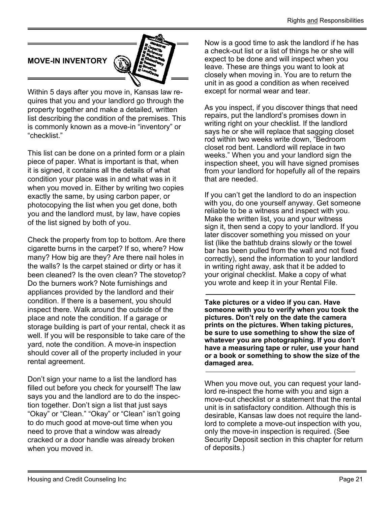<span id="page-20-0"></span>

Within 5 days after you move in, Kansas law requires that you and your landlord go through the property together and make a detailed, written list describing the condition of the premises. This is commonly known as a move-in "inventory" or "checklist."

This list can be done on a printed form or a plain piece of paper. What is important is that, when it is signed, it contains all the details of what condition your place was in and what was in it when you moved in. Either by writing two copies exactly the same, by using carbon paper, or photocopying the list when you get done, both you and the landlord must, by law, have copies of the list signed by both of you.

Check the property from top to bottom. Are there cigarette burns in the carpet? If so, where? How many? How big are they? Are there nail holes in the walls? Is the carpet stained or dirty or has it been cleaned? Is the oven clean? The stovetop? Do the burners work? Note furnishings and appliances provided by the landlord and their condition. If there is a basement, you should inspect there. Walk around the outside of the place and note the condition. If a garage or storage building is part of your rental, check it as well. If you will be responsible to take care of the yard, note the condition. A move-in inspection should cover all of the property included in your rental agreement.

Don't sign your name to a list the landlord has filled out before you check for yourself! The law says you and the landlord are to do the inspection together. Don't sign a list that just says "Okay" or "Clean." "Okay" or "Clean" isn't going to do much good at move-out time when you need to prove that a window was already cracked or a door handle was already broken when you moved in.

Now is a good time to ask the landlord if he has a check-out list or a list of things he or she will expect to be done and will inspect when you leave. These are things you want to look at closely when moving in. You are to return the unit in as good a condition as when received except for normal wear and tear.

As you inspect, if you discover things that need repairs, put the landlord's promises down in writing right on your checklist. If the landlord says he or she will replace that sagging closet rod within two weeks write down, "Bedroom closet rod bent. Landlord will replace in two weeks." When you and your landlord sign the inspection sheet, you will have signed promises from your landlord for hopefully all of the repairs that are needed.

If you can't get the landlord to do an inspection with you, do one yourself anyway. Get someone reliable to be a witness and inspect with you. Make the written list, you and your witness sign it, then send a copy to your landlord. If you later discover something you missed on your list (like the bathtub drains slowly or the towel bar has been pulled from the wall and not fixed correctly), send the information to your landlord in writing right away, ask that it be added to your original checklist. Make a copy of what you wrote and keep it in your Rental File.

Take pictures or a video if you can. Have someone with you to verify when you took the pictures. Don't rely on the date the camera prints on the pictures. When taking pictures, be sure to use something to show the size of whatever you are photographing. If you don't have a measuring tape or ruler, use your hand or a book or something to show the size of the damaged area.

When you move out, you can request your landlord re-inspect the home with you and sign a move-out checklist or a statement that the rental unit is in satisfactory condition. Although this is desirable, Kansas law does not require the landlord to complete a move-out inspection with you, only the move-in inspection is required. (See Security Deposit section in this chapter for return of deposits.)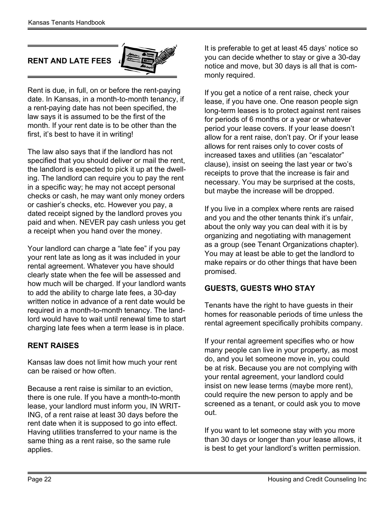#### <span id="page-21-0"></span>RENT AND LATE FEES



Rent is due, in full, on or before the rent-paying date. In Kansas, in a month-to-month tenancy, if a rent-paying date has not been specified, the law says it is assumed to be the first of the month. If your rent date is to be other than the first, it's best to have it in writing!

The law also says that if the landlord has not specified that you should deliver or mail the rent, the landlord is expected to pick it up at the dwelling. The landlord can require you to pay the rent in a specific way; he may not accept personal checks or cash, he may want only money orders or cashier's checks, etc. However you pay, a dated receipt signed by the landlord proves you paid and when. NEVER pay cash unless you get a receipt when you hand over the money.

Your landlord can charge a "late fee" if you pay your rent late as long as it was included in your rental agreement. Whatever you have should clearly state when the fee will be assessed and how much will be charged. If your landlord wants to add the ability to charge late fees, a 30-day written notice in advance of a rent date would be required in a month-to-month tenancy. The landlord would have to wait until renewal time to start charging late fees when a term lease is in place.

#### RENT RAISES

Kansas law does not limit how much your rent can be raised or how often.

Because a rent raise is similar to an eviction, there is one rule. If you have a month-to-month lease, your landlord must inform you, IN WRIT-ING, of a rent raise at least 30 days before the rent date when it is supposed to go into effect. Having utilities transferred to your name is the same thing as a rent raise, so the same rule applies.

It is preferable to get at least 45 days' notice so you can decide whether to stay or give a 30-day notice and move, but 30 days is all that is commonly required.

If you get a notice of a rent raise, check your lease, if you have one. One reason people sign long-term leases is to protect against rent raises for periods of 6 months or a year or whatever period your lease covers. If your lease doesn't allow for a rent raise, don't pay. Or if your lease allows for rent raises only to cover costs of increased taxes and utilities (an "escalator" clause), insist on seeing the last year or two's receipts to prove that the increase is fair and necessary. You may be surprised at the costs, but maybe the increase will be dropped.

If you live in a complex where rents are raised and you and the other tenants think it's unfair, about the only way you can deal with it is by organizing and negotiating with management as a group (see Tenant Organizations chapter). You may at least be able to get the landlord to make repairs or do other things that have been promised.

#### GUESTS, GUESTS WHO STAY

Tenants have the right to have guests in their homes for reasonable periods of time unless the rental agreement specifically prohibits company.

If your rental agreement specifies who or how many people can live in your property, as most do, and you let someone move in, you could be at risk. Because you are not complying with your rental agreement, your landlord could insist on new lease terms (maybe more rent), could require the new person to apply and be screened as a tenant, or could ask you to move out.

If you want to let someone stay with you more than 30 days or longer than your lease allows, it is best to get your landlord's written permission.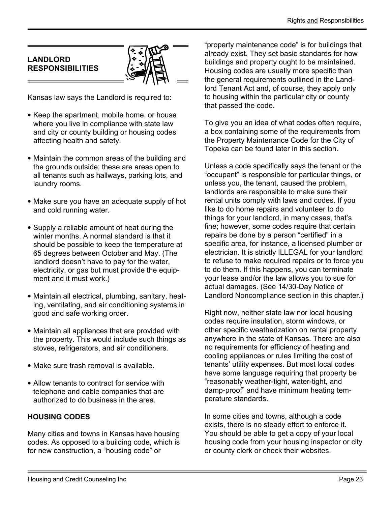#### <span id="page-22-0"></span>LANDLORD RESPONSIBILITIES



Kansas law says the Landlord is required to:

- Keep the apartment, mobile home, or house where you live in compliance with state law and city or county building or housing codes affecting health and safety.
- Maintain the common areas of the building and the grounds outside; these are areas open to all tenants such as hallways, parking lots, and laundry rooms.
- Make sure you have an adequate supply of hot and cold running water.
- Supply a reliable amount of heat during the winter months. A normal standard is that it should be possible to keep the temperature at 65 degrees between October and May. (The landlord doesn't have to pay for the water, electricity, or gas but must provide the equipment and it must work.)
- Maintain all electrical, plumbing, sanitary, heating, ventilating, and air conditioning systems in good and safe working order.
- Maintain all appliances that are provided with the property. This would include such things as stoves, refrigerators, and air conditioners.
- Make sure trash removal is available.
- Allow tenants to contract for service with telephone and cable companies that are authorized to do business in the area.

#### HOUSING CODES

Many cities and towns in Kansas have housing codes. As opposed to a building code, which is for new construction, a "housing code" or

"property maintenance code" is for buildings that already exist. They set basic standards for how buildings and property ought to be maintained. Housing codes are usually more specific than the general requirements outlined in the Landlord Tenant Act and, of course, they apply only to housing within the particular city or county that passed the code.

To give you an idea of what codes often require, a box containing some of the requirements from the Property Maintenance Code for the City of Topeka can be found later in this section.

Unless a code specifically says the tenant or the "occupant" is responsible for particular things, or unless you, the tenant, caused the problem, landlords are responsible to make sure their rental units comply with laws and codes. If you like to do home repairs and volunteer to do things for your landlord, in many cases, that's fine; however, some codes require that certain repairs be done by a person "certified" in a specific area, for instance, a licensed plumber or electrician. It is strictly ILLEGAL for your landlord to refuse to make required repairs or to force you to do them. If this happens, you can terminate your lease and/or the law allows you to sue for actual damages. (See 14/30-Day Notice of Landlord Noncompliance section in this chapter.)

Right now, neither state law nor local housing codes require insulation, storm windows, or other specific weatherization on rental property anywhere in the state of Kansas. There are also no requirements for efficiency of heating and cooling appliances or rules limiting the cost of tenants' utility expenses. But most local codes have some language requiring that property be "reasonably weather-tight, water-tight, and damp-proof" and have minimum heating temperature standards.

In some cities and towns, although a code exists, there is no steady effort to enforce it. You should be able to get a copy of your local housing code from your housing inspector or city or county clerk or check their websites.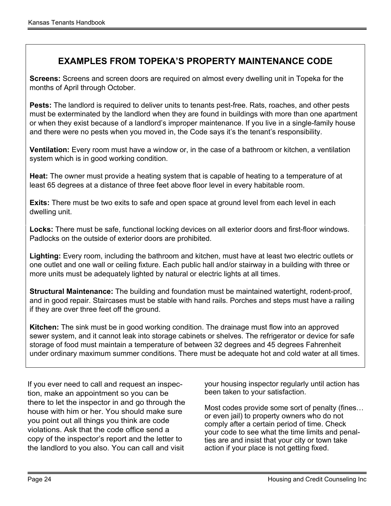#### EXAMPLES FROM TOPEKA'S PROPERTY MAINTENANCE CODE

 Screens: Screens and screen doors are required on almost every dwelling unit in Topeka for the months of April through October.

Pests: The landlord is required to deliver units to tenants pest-free. Rats, roaches, and other pests must be exterminated by the landlord when they are found in buildings with more than one apartment or when they exist because of a landlord's improper maintenance. If you live in a single-family house and there were no pests when you moved in, the Code says it's the tenant's responsibility.

 Ventilation: Every room must have a window or, in the case of a bathroom or kitchen, a ventilation system which is in good working condition.

 Heat: The owner must provide a heating system that is capable of heating to a temperature of at least 65 degrees at a distance of three feet above floor level in every habitable room.

**Exits:** There must be two exits to safe and open space at ground level from each level in each dwelling unit.

 Locks: There must be safe, functional locking devices on all exterior doors and first-floor windows. Padlocks on the outside of exterior doors are prohibited.

 Lighting: Every room, including the bathroom and kitchen, must have at least two electric outlets or one outlet and one wall or ceiling fixture. Each public hall and/or stairway in a building with three or more units must be adequately lighted by natural or electric lights at all times.

Structural Maintenance: The building and foundation must be maintained watertight, rodent-proof, and in good repair. Staircases must be stable with hand rails. Porches and steps must have a railing if they are over three feet off the ground.

Kitchen: The sink must be in good working condition. The drainage must flow into an approved sewer system, and it cannot leak into storage cabinets or shelves. The refrigerator or device for safe storage of food must maintain a temperature of between 32 degrees and 45 degrees Fahrenheit under ordinary maximum summer conditions. There must be adequate hot and cold water at all times.

If you ever need to call and request an inspection, make an appointment so you can be there to let the inspector in and go through the house with him or her. You should make sure you point out all things you think are code violations. Ask that the code office send a copy of the inspector's report and the letter to the landlord to you also. You can call and visit

your housing inspector regularly until action has been taken to your satisfaction.

Most codes provide some sort of penalty (fines… or even jail) to property owners who do not comply after a certain period of time. Check your code to see what the time limits and penalties are and insist that your city or town take action if your place is not getting fixed.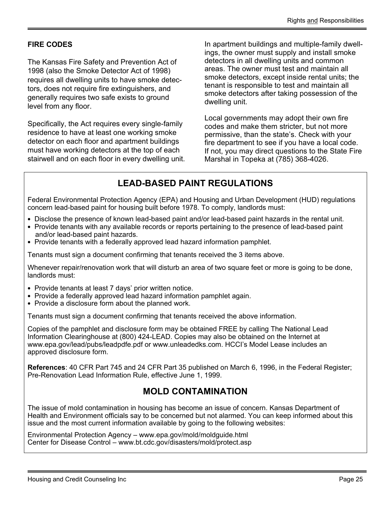#### FIRE CODES

The Kansas Fire Safety and Prevention Act of 1998 (also the Smoke Detector Act of 1998) requires all dwelling units to have smoke detectors, does not require fire extinguishers, and generally requires two safe exists to ground level from any floor.

Specifically, the Act requires every single-family residence to have at least one working smoke detector on each floor and apartment buildings must have working detectors at the top of each stairwell and on each floor in every dwelling unit. In apartment buildings and multiple-family dwellings, the owner must supply and install smoke detectors in all dwelling units and common areas. The owner must test and maintain all smoke detectors, except inside rental units; the tenant is responsible to test and maintain all smoke detectors after taking possession of the dwelling unit.

Local governments may adopt their own fire codes and make them stricter, but not more permissive, than the state's. Check with your fire department to see if you have a local code. If not, you may direct questions to the State Fire Marshal in Topeka at (785) 368-4026.

#### LEAD-BASED PAINT REGULATIONS

Federal Environmental Protection Agency (EPA) and Housing and Urban Development (HUD) regulations concern lead-based paint for housing built before 1978. To comply, landlords must:

- Disclose the presence of known lead-based paint and/or lead-based paint hazards in the rental unit.
- Provide tenants with any available records or reports pertaining to the presence of lead-based paint and/or lead-based paint hazards.
- Provide tenants with a federally approved lead hazard information pamphlet.

Tenants must sign a document confirming that tenants received the 3 items above.

Whenever repair/renovation work that will disturb an area of two square feet or more is going to be done, landlords must:

- Provide tenants at least 7 days' prior written notice.
- Provide a federally approved lead hazard information pamphlet again.
- Provide a disclosure form about the planned work.

Tenants must sign a document confirming that tenants received the above information.

Copies of the pamphlet and disclosure form may be obtained FREE by calling The National Lead Information Clearinghouse at (800) 424-LEAD. Copies may also be obtained on the Internet at www.epa.gov/lead/pubs/leadpdfe.pdf or www.unleadedks.com. HCCI's Model Lease includes an approved disclosure form.

References: 40 CFR Part 745 and 24 CFR Part 35 published on March 6, 1996, in the Federal Register; Pre-Renovation Lead Information Rule, effective June 1, 1999.

#### MOLD CONTAMINATION

The issue of mold contamination in housing has become an issue of concern. Kansas Department of Health and Environment officials say to be concerned but not alarmed. You can keep informed about this issue and the most current information available by going to the following websites:

Environmental Protection Agency – www.epa.gov/mold/moldguide.html Center for Disease Control – www.bt.cdc.gov/disasters/mold/protect.asp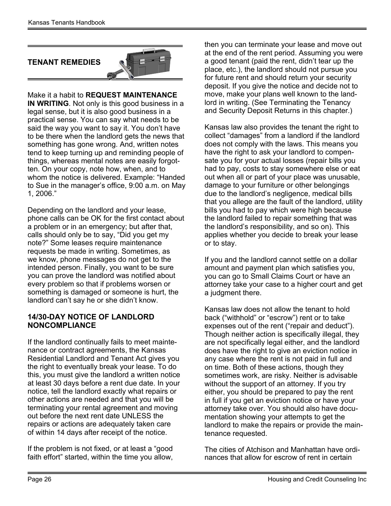#### <span id="page-25-0"></span>TENANT REMEDIES



Make it a habit to REQUEST MAINTENANCE IN WRITING. Not only is this good business in a legal sense, but it is also good business in a practical sense. You can say what needs to be said the way you want to say it. You don't have to be there when the landlord gets the news that something has gone wrong. And, written notes tend to keep turning up and reminding people of things, whereas mental notes are easily forgotten. On your copy, note how, when, and to whom the notice is delivered. Example: "Handed to Sue in the manager's office, 9:00 a.m. on May 1, 2006."

Depending on the landlord and your lease, phone calls can be OK for the first contact about a problem or in an emergency; but after that, calls should only be to say, "Did you get my note?" Some leases require maintenance requests be made in writing. Sometimes, as we know, phone messages do not get to the intended person. Finally, you want to be sure you can prove the landlord was notified about every problem so that if problems worsen or something is damaged or someone is hurt, the landlord can't say he or she didn't know.

#### 14/30-DAY NOTICE OF LANDLORD NONCOMPLIANCE

If the landlord continually fails to meet maintenance or contract agreements, the Kansas Residential Landlord and Tenant Act gives you the right to eventually break your lease. To do this, you must give the landlord a written notice at least 30 days before a rent due date. In your notice, tell the landlord exactly what repairs or other actions are needed and that you will be terminating your rental agreement and moving out before the next rent date UNLESS the repairs or actions are adequately taken care of within 14 days after receipt of the notice.

If the problem is not fixed, or at least a "good faith effort" started, within the time you allow, then you can terminate your lease and move out at the end of the rent period. Assuming you were a good tenant (paid the rent, didn't tear up the place, etc.), the landlord should not pursue you for future rent and should return your security deposit. If you give the notice and decide not to move, make your plans well known to the landlord in writing. (See Terminating the Tenancy and Security Deposit Returns in this chapter.)

Kansas law also provides the tenant the right to collect "damages" from a landlord if the landlord does not comply with the laws. This means you have the right to ask your landlord to compensate you for your actual losses (repair bills you had to pay, costs to stay somewhere else or eat out when all or part of your place was unusable, damage to your furniture or other belongings due to the landlord's negligence, medical bills that you allege are the fault of the landlord, utility bills you had to pay which were high because the landlord failed to repair something that was the landlord's responsibility, and so on). This applies whether you decide to break your lease or to stay.

If you and the landlord cannot settle on a dollar amount and payment plan which satisfies you, you can go to Small Claims Court or have an attorney take your case to a higher court and get a judgment there.

Kansas law does not allow the tenant to hold back ("withhold" or "escrow") rent or to take expenses out of the rent ("repair and deduct"). Though neither action is specifically illegal, they are not specifically legal either, and the landlord does have the right to give an eviction notice in any case where the rent is not paid in full and on time. Both of these actions, though they sometimes work, are risky. Neither is advisable without the support of an attorney. If you try either, you should be prepared to pay the rent in full if you get an eviction notice or have your attorney take over. You should also have documentation showing your attempts to get the landlord to make the repairs or provide the maintenance requested.

The cities of Atchison and Manhattan have ordinances that allow for escrow of rent in certain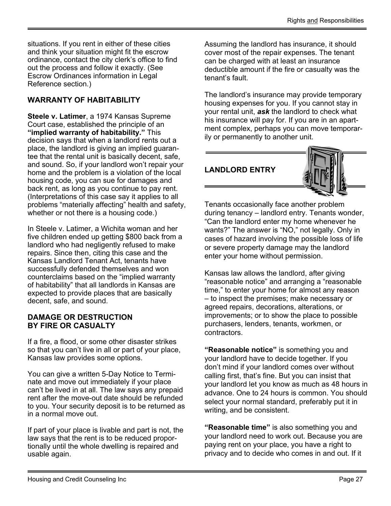<span id="page-26-0"></span>situations. If you rent in either of these cities and think your situation might fit the escrow ordinance, contact the city clerk's office to find out the process and follow it exactly. (See Escrow Ordinances information in Legal Reference section.)

#### WARRANTY OF HABITABILITY

Steele v. Latimer, a 1974 Kansas Supreme Court case, established the principle of an "implied warranty of habitability." This decision says that when a landlord rents out a place, the landlord is giving an implied guarantee that the rental unit is basically decent, safe, and sound. So, if your landlord won't repair your home and the problem is a violation of the local housing code, you can sue for damages and back rent, as long as you continue to pay rent. (Interpretations of this case say it applies to all problems "materially affecting" health and safety, whether or not there is a housing code.)

In Steele v. Latimer, a Wichita woman and her five children ended up getting \$800 back from a landlord who had negligently refused to make repairs. Since then, citing this case and the Kansas Landlord Tenant Act, tenants have successfully defended themselves and won counterclaims based on the "implied warranty of habitability" that all landlords in Kansas are expected to provide places that are basically decent, safe, and sound.

#### DAMAGE OR DESTRUCTION BY FIRE OR CASUALTY

If a fire, a flood, or some other disaster strikes so that you can't live in all or part of your place, Kansas law provides some options.

You can give a written 5-Day Notice to Terminate and move out immediately if your place can't be lived in at all. The law says any prepaid rent after the move-out date should be refunded to you. Your security deposit is to be returned as in a normal move out.

If part of your place is livable and part is not, the law says that the rent is to be reduced proportionally until the whole dwelling is repaired and usable again.

Assuming the landlord has insurance, it should cover most of the repair expenses. The tenant can be charged with at least an insurance deductible amount if the fire or casualty was the tenant's fault.

The landlord's insurance may provide temporary housing expenses for you. If you cannot stay in your rental unit,  $a$ sk the landlord to check what his insurance will pay for. If you are in an apartment complex, perhaps you can move temporarily or permanently to another unit.

#### LANDLORD ENTRY



Tenants occasionally face another problem during tenancy – landlord entry. Tenants wonder, "Can the landlord enter my home whenever he wants?" The answer is "NO," not legally. Only in cases of hazard involving the possible loss of life or severe property damage may the landlord enter your home without permission.

Kansas law allows the landlord, after giving "reasonable notice" and arranging a "reasonable time," to enter your home for almost any reason – to inspect the premises; make necessary or agreed repairs, decorations, alterations, or improvements; or to show the place to possible purchasers, lenders, tenants, workmen, or contractors.

"Reasonable notice" is something you and your landlord have to decide together. If you don't mind if your landlord comes over without calling first, that's fine. But you can insist that your landlord let you know as much as 48 hours in advance. One to 24 hours is common. You should select your normal standard, preferably put it in writing, and be consistent.

"Reasonable time" is also something you and your landlord need to work out. Because you are paying rent on your place, you have a right to privacy and to decide who comes in and out. If it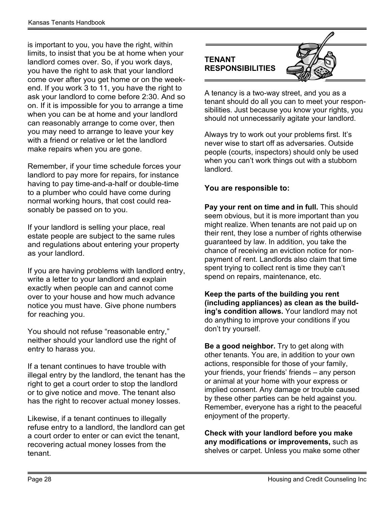<span id="page-27-0"></span>is important to you, you have the right, within limits, to insist that you be at home when your landlord comes over. So, if you work days, you have the right to ask that your landlord come over after you get home or on the weekend. If you work 3 to 11, you have the right to ask your landlord to come before 2:30. And so on. If it is impossible for you to arrange a time when you can be at home and your landlord can reasonably arrange to come over, then you may need to arrange to leave your key with a friend or relative or let the landlord make repairs when you are gone.

Remember, if your time schedule forces your landlord to pay more for repairs, for instance having to pay time-and-a-half or double-time to a plumber who could have come during normal working hours, that cost could reasonably be passed on to you.

If your landlord is selling your place, real estate people are subject to the same rules and regulations about entering your property as your landlord.

If you are having problems with landlord entry, write a letter to your landlord and explain exactly when people can and cannot come over to your house and how much advance notice you must have. Give phone numbers for reaching you.

You should not refuse "reasonable entry," neither should your landlord use the right of entry to harass you.

If a tenant continues to have trouble with illegal entry by the landlord, the tenant has the right to get a court order to stop the landlord or to give notice and move. The tenant also has the right to recover actual money losses.

Likewise, if a tenant continues to illegally refuse entry to a landlord, the landlord can get a court order to enter or can evict the tenant, recovering actual money losses from the tenant.

#### TENANT RESPONSIBILITIES

A tenancy is a two-way street, and you as a tenant should do all you can to meet your responsibilities. Just because you know your rights, you should not unnecessarily agitate your landlord.

Always try to work out your problems first. It's never wise to start off as adversaries. Outside people (courts, inspectors) should only be used when you can't work things out with a stubborn landlord.

#### You are responsible to:

Pay your rent on time and in full. This should seem obvious, but it is more important than you might realize. When tenants are not paid up on their rent, they lose a number of rights otherwise guaranteed by law. In addition, you take the chance of receiving an eviction notice for nonpayment of rent. Landlords also claim that time spent trying to collect rent is time they can't spend on repairs, maintenance, etc.

Keep the parts of the building you rent (including appliances) as clean as the building's condition allows. Your landlord may not do anything to improve your conditions if you don't try yourself.

Be a good neighbor. Try to get along with other tenants. You are, in addition to your own actions, responsible for those of your family, your friends, your friends' friends – any person or animal at your home with your express or implied consent. Any damage or trouble caused by these other parties can be held against you. Remember, everyone has a right to the peaceful enjoyment of the property.

Check with your landlord before you make any modifications or improvements, such as shelves or carpet. Unless you make some other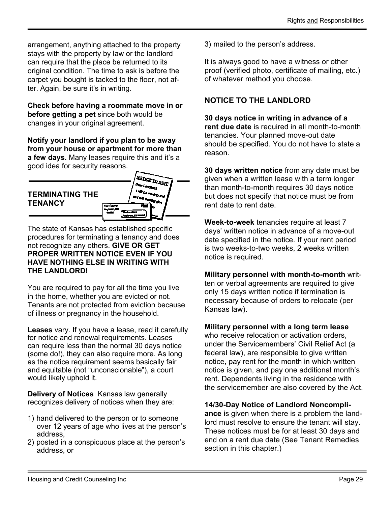<span id="page-28-0"></span>arrangement, anything attached to the property stays with the property by law or the landlord can require that the place be returned to its original condition. The time to ask is before the carpet you bought is tacked to the floor, not after. Again, be sure it's in writing.

Check before having a roommate move in or before getting a pet since both would be changes in your original agreement.

Notify your landlord if you plan to be away from your house or apartment for more than a few days. Many leases require this and it's a good idea for security reasons.

#### TERMINATING THE **TENANCY**



The state of Kansas has established specific procedures for terminating a tenancy and does not recognize any others. GIVE OR GET PROPER WRITTEN NOTICE EVEN IF YOU HAVE NOTHING ELSE IN WRITING WITH THE LANDLORD!

You are required to pay for all the time you live in the home, whether you are evicted or not. Tenants are not protected from eviction because of illness or pregnancy in the household.

Leases vary. If you have a lease, read it carefully for notice and renewal requirements. Leases can require less than the normal 30 days notice (some do!), they can also require more. As long as the notice requirement seems basically fair and equitable (not "unconscionable"), a court would likely uphold it.

Delivery of Notices Kansas law generally recognizes delivery of notices when they are:

- 1) hand delivered to the person or to someone over 12 years of age who lives at the person's address,
- 2) posted in a conspicuous place at the person's address, or

3) mailed to the person's address.

It is always good to have a witness or other proof (verified photo, certificate of mailing, etc.) of whatever method you choose.

#### NOTICE TO THE LANDLORD

30 days notice in writing in advance of a rent due date is required in all month-to-month tenancies. Your planned move-out date should be specified. You do not have to state a reason.

30 days written notice from any date must be given when a written lease with a term longer than month-to-month requires 30 days notice but does not specify that notice must be from rent date to rent date.

Week-to-week tenancies require at least 7 days' written notice in advance of a move-out date specified in the notice. If your rent period is two weeks-to-two weeks, 2 weeks written notice is required.

Military personnel with month-to-month written or verbal agreements are required to give only 15 days written notice if termination is necessary because of orders to relocate (per Kansas law).

Military personnel with a long term lease

who receive relocation or activation orders. under the Servicemembers' Civil Relief Act (a federal law), are responsible to give written notice, pay rent for the month in which written notice is given, and pay one additional month's rent. Dependents living in the residence with the servicemember are also covered by the Act.

#### 14/30-Day Notice of Landlord Noncompli-

ance is given when there is a problem the landlord must resolve to ensure the tenant will stay. These notices must be for at least 30 days and end on a rent due date (See Tenant Remedies section in this chapter.)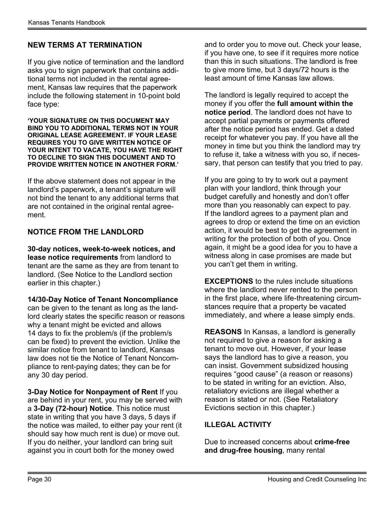#### NEW TERMS AT TERMINATION

If you give notice of termination and the landlord asks you to sign paperwork that contains additional terms not included in the rental agreement, Kansas law requires that the paperwork include the following statement in 10-point bold face type:

'YOUR SIGNATURE ON THIS DOCUMENT MAY BIND YOU TO ADDITIONAL TERMS NOT IN YOUR ORIGINAL LEASE AGREEMENT. IF YOUR LEASE REQUIRES YOU TO GIVE WRITTEN NOTICE OF YOUR INTENT TO VACATE, YOU HAVE THE RIGHT TO DECLINE TO SIGN THIS DOCUMENT AND TO PROVIDE WRITTEN NOTICE IN ANOTHER FORM.'

If the above statement does not appear in the landlord's paperwork, a tenant's signature will not bind the tenant to any additional terms that are not contained in the original rental agreement.

#### NOTICE FROM THE LANDLORD

30-day notices, week-to-week notices, and lease notice requirements from landlord to tenant are the same as they are from tenant to landlord. (See Notice to the Landlord section earlier in this chapter.)

14/30-Day Notice of Tenant Noncompliance can be given to the tenant as long as the landlord clearly states the specific reason or reasons why a tenant might be evicted and allows 14 days to fix the problem/s (if the problem/s can be fixed) to prevent the eviction. Unlike the similar notice from tenant to landlord, Kansas law does not tie the Notice of Tenant Noncompliance to rent-paying dates; they can be for any 30 day period.

3-Day Notice for Nonpayment of Rent If you are behind in your rent, you may be served with a 3-Day (72-hour) Notice. This notice must state in writing that you have 3 days, 5 days if the notice was mailed, to either pay your rent (it should say how much rent is due) or move out. If you do neither, your landlord can bring suit against you in court both for the money owed

and to order you to move out. Check your lease, if you have one, to see if it requires more notice than this in such situations. The landlord is free to give more time, but 3 days/72 hours is the least amount of time Kansas law allows.

The landlord is legally required to accept the money if you offer the full amount within the notice period. The landlord does not have to accept partial payments or payments offered after the notice period has ended. Get a dated receipt for whatever you pay. If you have all the money in time but you think the landlord may try to refuse it, take a witness with you so, if necessary, that person can testify that you tried to pay.

If you are going to try to work out a payment plan with your landlord, think through your budget carefully and honestly and don't offer more than you reasonably can expect to pay. If the landlord agrees to a payment plan and agrees to drop or extend the time on an eviction action, it would be best to get the agreement in writing for the protection of both of you. Once again, it might be a good idea for you to have a witness along in case promises are made but you can't get them in writing.

EXCEPTIONS to the rules include situations where the landlord never rented to the person in the first place, where life-threatening circumstances require that a property be vacated immediately, and where a lease simply ends.

REASONS In Kansas, a landlord is generally not required to give a reason for asking a tenant to move out. However, if your lease says the landlord has to give a reason, you can insist. Government subsidized housing requires "good cause" (a reason or reasons) to be stated in writing for an eviction. Also, retaliatory evictions are illegal whether a reason is stated or not. (See Retaliatory Evictions section in this chapter.)

#### ILLEGAL ACTIVITY

Due to increased concerns about **crime-free** and drug-free housing, many rental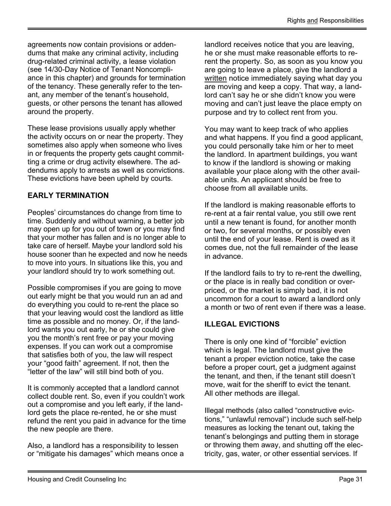agreements now contain provisions or addendums that make any criminal activity, including drug-related criminal activity, a lease violation (see 14/30-Day Notice of Tenant Noncompliance in this chapter) and grounds for termination of the tenancy. These generally refer to the tenant, any member of the tenant's household, guests, or other persons the tenant has allowed around the property.

These lease provisions usually apply whether the activity occurs on or near the property. They sometimes also apply when someone who lives in or frequents the property gets caught committing a crime or drug activity elsewhere. The addendums apply to arrests as well as convictions. These evictions have been upheld by courts.

#### EARLY TERMINATION

Peoples' circumstances do change from time to time. Suddenly and without warning, a better job may open up for you out of town or you may find that your mother has fallen and is no longer able to take care of herself. Maybe your landlord sold his house sooner than he expected and now he needs to move into yours. In situations like this, you and your landlord should try to work something out.

Possible compromises if you are going to move out early might be that you would run an ad and do everything you could to re-rent the place so that your leaving would cost the landlord as little time as possible and no money. Or, if the landlord wants you out early, he or she could give you the month's rent free or pay your moving expenses. If you can work out a compromise that satisfies both of you, the law will respect your "good faith" agreement. If not, then the "letter of the law" will still bind both of you.

It is commonly accepted that a landlord cannot collect double rent. So, even if you couldn't work out a compromise and you left early, if the landlord gets the place re-rented, he or she must refund the rent you paid in advance for the time the new people are there.

Also, a landlord has a responsibility to lessen or "mitigate his damages" which means once a landlord receives notice that you are leaving, he or she must make reasonable efforts to rerent the property. So, as soon as you know you are going to leave a place, give the landlord a written notice immediately saying what day you are moving and keep a copy. That way, a landlord can't say he or she didn't know you were moving and can't just leave the place empty on purpose and try to collect rent from you.

You may want to keep track of who applies and what happens. If you find a good applicant, you could personally take him or her to meet the landlord. In apartment buildings, you want to know if the landlord is showing or making available your place along with the other available units. An applicant should be free to choose from all available units.

If the landlord is making reasonable efforts to re-rent at a fair rental value, you still owe rent until a new tenant is found, for another month or two, for several months, or possibly even until the end of your lease. Rent is owed as it comes due, not the full remainder of the lease in advance.

If the landlord fails to try to re-rent the dwelling, or the place is in really bad condition or overpriced, or the market is simply bad, it is not uncommon for a court to award a landlord only a month or two of rent even if there was a lease.

#### ILLEGAL EVICTIONS

There is only one kind of "forcible" eviction which is legal. The landlord must give the tenant a proper eviction notice, take the case before a proper court, get a judgment against the tenant, and then, if the tenant still doesn't move, wait for the sheriff to evict the tenant. All other methods are illegal.

Illegal methods (also called "constructive evictions," "unlawful removal") include such self-help measures as locking the tenant out, taking the tenant's belongings and putting them in storage or throwing them away, and shutting off the electricity, gas, water, or other essential services. If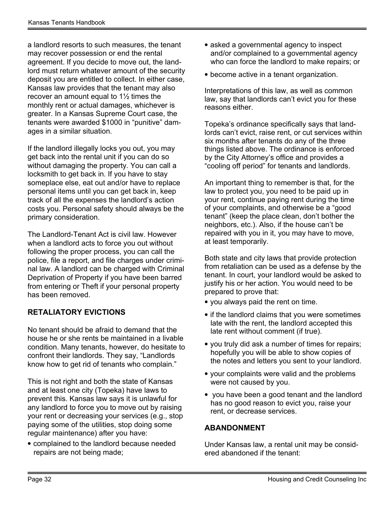a landlord resorts to such measures, the tenant may recover possession or end the rental agreement. If you decide to move out, the landlord must return whatever amount of the security deposit you are entitled to collect. In either case, Kansas law provides that the tenant may also recover an amount equal to 1½ times the monthly rent or actual damages, whichever is greater. In a Kansas Supreme Court case, the tenants were awarded \$1000 in "punitive" damages in a similar situation.

If the landlord illegally locks you out, you may get back into the rental unit if you can do so without damaging the property. You can call a locksmith to get back in. If you have to stay someplace else, eat out and/or have to replace personal items until you can get back in, keep track of all the expenses the landlord's action costs you. Personal safety should always be the primary consideration.

The Landlord-Tenant Act is civil law. However when a landlord acts to force you out without following the proper process, you can call the police, file a report, and file charges under criminal law. A landlord can be charged with Criminal Deprivation of Property if you have been barred from entering or Theft if your personal property has been removed.

#### RETALIATORY EVICTIONS

No tenant should be afraid to demand that the house he or she rents be maintained in a livable condition. Many tenants, however, do hesitate to confront their landlords. They say, "Landlords know how to get rid of tenants who complain."

This is not right and both the state of Kansas and at least one city (Topeka) have laws to prevent this. Kansas law says it is unlawful for any landlord to force you to move out by raising your rent or decreasing your services (e.g., stop paying some of the utilities, stop doing some regular maintenance) after you have:

• complained to the landlord because needed repairs are not being made;

- asked a governmental agency to inspect and/or complained to a governmental agency who can force the landlord to make repairs; or
- become active in a tenant organization.

Interpretations of this law, as well as common law, say that landlords can't evict you for these reasons either.

Topeka's ordinance specifically says that landlords can't evict, raise rent, or cut services within six months after tenants do any of the three things listed above. The ordinance is enforced by the City Attorney's office and provides a "cooling off period" for tenants and landlords.

An important thing to remember is that, for the law to protect you, you need to be paid up in your rent, continue paying rent during the time of your complaints, and otherwise be a "good tenant" (keep the place clean, don't bother the neighbors, etc.). Also, if the house can't be repaired with you in it, you may have to move, at least temporarily.

Both state and city laws that provide protection from retaliation can be used as a defense by the tenant. In court, your landlord would be asked to justify his or her action. You would need to be prepared to prove that:

- you always paid the rent on time.
- if the landlord claims that you were sometimes late with the rent, the landlord accepted this late rent without comment (if true).
- you truly did ask a number of times for repairs; hopefully you will be able to show copies of the notes and letters you sent to your landlord.
- your complaints were valid and the problems were not caused by you.
- you have been a good tenant and the landlord has no good reason to evict you, raise your rent, or decrease services.

#### ABANDONMENT

Under Kansas law, a rental unit may be considered abandoned if the tenant: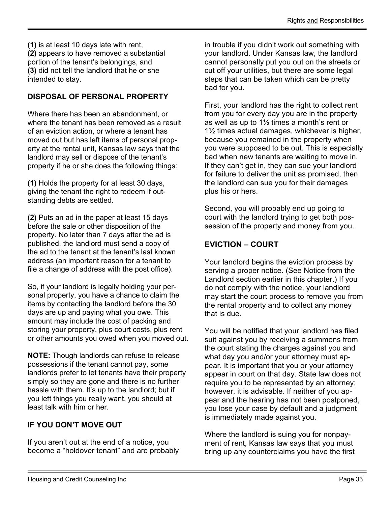(1) is at least 10 days late with rent, (2) appears to have removed a substantial portion of the tenant's belongings, and (3) did not tell the landlord that he or she intended to stay.

#### DISPOSAL OF PERSONAL PROPERTY

Where there has been an abandonment, or where the tenant has been removed as a result of an eviction action, or where a tenant has moved out but has left items of personal property at the rental unit, Kansas law says that the landlord may sell or dispose of the tenant's property if he or she does the following things:

(1) Holds the property for at least 30 days, giving the tenant the right to redeem if outstanding debts are settled.

(2) Puts an ad in the paper at least 15 days before the sale or other disposition of the property. No later than 7 days after the ad is published, the landlord must send a copy of the ad to the tenant at the tenant's last known address (an important reason for a tenant to file a change of address with the post office).

So, if your landlord is legally holding your personal property, you have a chance to claim the items by contacting the landlord before the 30 days are up and paying what you owe. This amount may include the cost of packing and storing your property, plus court costs, plus rent or other amounts you owed when you moved out.

NOTE: Though landlords can refuse to release possessions if the tenant cannot pay, some landlords prefer to let tenants have their property simply so they are gone and there is no further hassle with them. It's up to the landlord; but if you left things you really want, you should at least talk with him or her.

#### IF YOU DON'T MOVE OUT

If you aren't out at the end of a notice, you become a "holdover tenant" and are probably

in trouble if you didn't work out something with your landlord. Under Kansas law, the landlord cannot personally put you out on the streets or cut off your utilities, but there are some legal steps that can be taken which can be pretty bad for you.

First, your landlord has the right to collect rent from you for every day you are in the property as well as up to  $1\frac{1}{2}$  times a month's rent or 1½ times actual damages, whichever is higher, because you remained in the property when you were supposed to be out. This is especially bad when new tenants are waiting to move in. If they can't get in, they can sue your landlord for failure to deliver the unit as promised, then the landlord can sue you for their damages plus his or hers.

Second, you will probably end up going to court with the landlord trying to get both possession of the property and money from you.

#### EVICTION – COURT

Your landlord begins the eviction process by serving a proper notice. (See Notice from the Landlord section earlier in this chapter.) If you do not comply with the notice, your landlord may start the court process to remove you from the rental property and to collect any money that is due.

You will be notified that your landlord has filed suit against you by receiving a summons from the court stating the charges against you and what day you and/or your attorney must appear. It is important that you or your attorney appear in court on that day. State law does not require you to be represented by an attorney; however, it is advisable. If neither of you appear and the hearing has not been postponed, you lose your case by default and a judgment is immediately made against you.

Where the landlord is suing you for nonpayment of rent, Kansas law says that you must bring up any counterclaims you have the first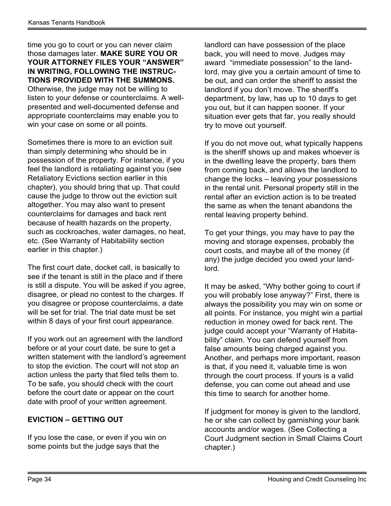time you go to court or you can never claim those damages later. MAKE SURE YOU OR YOUR ATTORNEY FILES YOUR "ANSWER" IN WRITING, FOLLOWING THE INSTRUC-TIONS PROVIDED WITH THE SUMMONS. Otherwise, the judge may not be willing to listen to your defense or counterclaims. A wellpresented and well-documented defense and appropriate counterclaims may enable you to win your case on some or all points.

Sometimes there is more to an eviction suit than simply determining who should be in possession of the property. For instance, if you feel the landlord is retaliating against you (see Retaliatory Evictions section earlier in this chapter), you should bring that up. That could cause the judge to throw out the eviction suit altogether. You may also want to present counterclaims for damages and back rent because of health hazards on the property, such as cockroaches, water damages, no heat, etc. (See Warranty of Habitability section earlier in this chapter.)

The first court date, docket call, is basically to see if the tenant is still in the place and if there is still a dispute. You will be asked if you agree, disagree, or plead no contest to the charges. If you disagree or propose counterclaims, a date will be set for trial. The trial date must be set within 8 days of your first court appearance.

If you work out an agreement with the landlord before or at your court date, be sure to get a written statement with the landlord's agreement to stop the eviction. The court will not stop an action unless the party that filed tells them to. To be safe, you should check with the court before the court date or appear on the court date with proof of your written agreement.

#### EVICTION – GETTING OUT

If you lose the case, or even if you win on some points but the judge says that the

landlord can have possession of the place back, you will need to move. Judges may award "immediate possession" to the landlord, may give you a certain amount of time to be out, and can order the sheriff to assist the landlord if you don't move. The sheriff's department, by law, has up to 10 days to get you out, but it can happen sooner. If your situation ever gets that far, you really should try to move out yourself.

If you do not move out, what typically happens is the sheriff shows up and makes whoever is in the dwelling leave the property, bars them from coming back, and allows the landlord to change the locks – leaving your possessions in the rental unit. Personal property still in the rental after an eviction action is to be treated the same as when the tenant abandons the rental leaving property behind.

To get your things, you may have to pay the moving and storage expenses, probably the court costs, and maybe all of the money (if any) the judge decided you owed your landlord.

It may be asked, "Why bother going to court if you will probably lose anyway?" First, there is always the possibility you may win on some or all points. For instance, you might win a partial reduction in money owed for back rent. The judge could accept your "Warranty of Habitability" claim. You can defend yourself from false amounts being charged against you. Another, and perhaps more important, reason is that, if you need it, valuable time is won through the court process. If yours is a valid defense, you can come out ahead and use this time to search for another home.

If judgment for money is given to the landlord, he or she can collect by garnishing your bank accounts and/or wages. (See Collecting a Court Judgment section in Small Claims Court chapter.)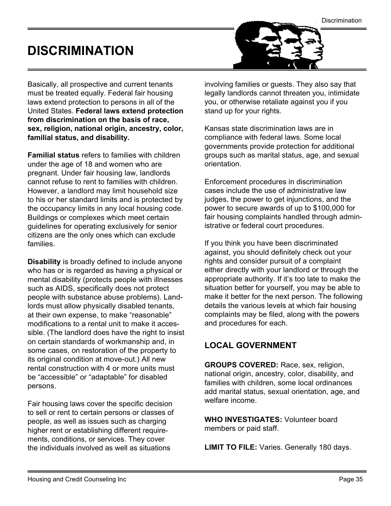**Discrimination** 

# <span id="page-34-0"></span>DISCRIMINATION

Basically, all prospective and current tenants must be treated equally. Federal fair housing laws extend protection to persons in all of the United States. Federal laws extend protection from discrimination on the basis of race, sex, religion, national origin, ancestry, color, familial status, and disability.

Familial status refers to families with children under the age of 18 and women who are pregnant. Under fair housing law, landlords cannot refuse to rent to families with children. However, a landlord may limit household size to his or her standard limits and is protected by the occupancy limits in any local housing code. Buildings or complexes which meet certain guidelines for operating exclusively for senior citizens are the only ones which can exclude families.

Disability is broadly defined to include anyone who has or is regarded as having a physical or mental disability (protects people with illnesses such as AIDS, specifically does not protect people with substance abuse problems). Landlords must allow physically disabled tenants, at their own expense, to make "reasonable" modifications to a rental unit to make it accessible. (The landlord does have the right to insist on certain standards of workmanship and, in some cases, on restoration of the property to its original condition at move-out.) All new rental construction with 4 or more units must be "accessible" or "adaptable" for disabled persons.

Fair housing laws cover the specific decision to sell or rent to certain persons or classes of people, as well as issues such as charging higher rent or establishing different requirements, conditions, or services. They cover the individuals involved as well as situations

involving families or guests. They also say that legally landlords cannot threaten you, intimidate you, or otherwise retaliate against you if you stand up for your rights.

Kansas state discrimination laws are in compliance with federal laws. Some local governments provide protection for additional groups such as marital status, age, and sexual orientation.

Enforcement procedures in discrimination cases include the use of administrative law judges, the power to get injunctions, and the power to secure awards of up to \$100,000 for fair housing complaints handled through administrative or federal court procedures.

If you think you have been discriminated against, you should definitely check out your rights and consider pursuit of a complaint either directly with your landlord or through the appropriate authority. If it's too late to make the situation better for yourself, you may be able to make it better for the next person. The following details the various levels at which fair housing complaints may be filed, along with the powers and procedures for each.

#### LOCAL GOVERNMENT

GROUPS COVERED: Race, sex, religion, national origin, ancestry, color, disability, and families with children, some local ordinances add marital status, sexual orientation, age, and welfare income.

WHO INVESTIGATES: Volunteer board members or paid staff.

LIMIT TO FILE: Varies. Generally 180 days.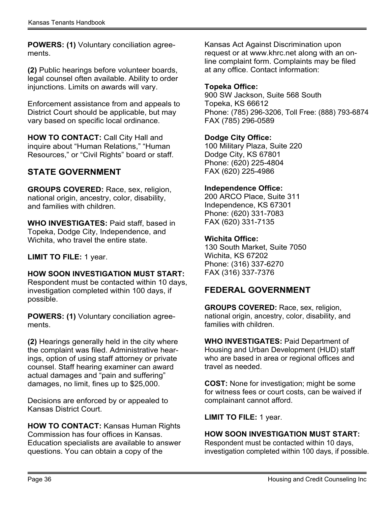POWERS: (1) Voluntary conciliation agreements.

(2) Public hearings before volunteer boards, legal counsel often available. Ability to order injunctions. Limits on awards will vary.

Enforcement assistance from and appeals to District Court should be applicable, but may vary based on specific local ordinance.

HOW TO CONTACT: Call City Hall and inquire about "Human Relations," "Human Resources," or "Civil Rights" board or staff.

#### STATE GOVERNMENT

GROUPS COVERED: Race, sex, religion, national origin, ancestry, color, disability, and families with children.

WHO INVESTIGATES: Paid staff, based in Topeka, Dodge City, Independence, and Wichita, who travel the entire state.

LIMIT TO FILE: 1 year.

HOW SOON INVESTIGATION MUST START: Respondent must be contacted within 10 days, investigation completed within 100 days, if possible.

POWERS: (1) Voluntary conciliation agreements.

(2) Hearings generally held in the city where the complaint was filed. Administrative hearings, option of using staff attorney or private counsel. Staff hearing examiner can award actual damages and "pain and suffering" damages, no limit, fines up to \$25,000.

Decisions are enforced by or appealed to Kansas District Court.

HOW TO CONTACT: Kansas Human Rights Commission has four offices in Kansas. Education specialists are available to answer questions. You can obtain a copy of the

Kansas Act Against Discrimination upon request or at www.khrc.net along with an online complaint form. Complaints may be filed at any office. Contact information:

#### Topeka Office:

900 SW Jackson, Suite 568 South Topeka, KS 66612 Phone: (785) 296-3206, Toll Free: (888) 793-6874 FAX (785) 296-0589

#### Dodge City Office:

100 Military Plaza, Suite 220 Dodge City, KS 67801 Phone: (620) 225-4804 FAX (620) 225-4986

#### Independence Office:

200 ARCO Place, Suite 311 Independence, KS 67301 Phone: (620) 331-7083 FAX (620) 331-7135

#### Wichita Office:

130 South Market, Suite 7050 Wichita, KS 67202 Phone: (316) 337-6270 FAX (316) 337-7376

#### FEDERAL GOVERNMENT

GROUPS COVERED: Race, sex, religion, national origin, ancestry, color, disability, and families with children.

WHO INVESTIGATES: Paid Department of Housing and Urban Development (HUD) staff who are based in area or regional offices and travel as needed.

COST: None for investigation; might be some for witness fees or court costs, can be waived if complainant cannot afford.

LIMIT TO FILE: 1 year.

#### HOW SOON INVESTIGATION MUST START:

Respondent must be contacted within 10 days, investigation completed within 100 days, if possible.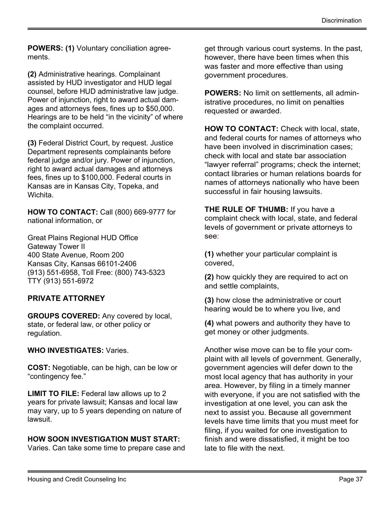POWERS: (1) Voluntary conciliation agreements.

(2) Administrative hearings. Complainant assisted by HUD investigator and HUD legal counsel, before HUD administrative law judge. Power of injunction, right to award actual damages and attorneys fees, fines up to \$50,000. Hearings are to be held "in the vicinity" of where the complaint occurred.

(3) Federal District Court, by request. Justice Department represents complainants before federal judge and/or jury. Power of injunction, right to award actual damages and attorneys fees, fines up to \$100,000. Federal courts in Kansas are in Kansas City, Topeka, and Wichita.

HOW TO CONTACT: Call (800) 669-9777 for national information, or

Great Plains Regional HUD Office Gateway Tower II 400 State Avenue, Room 200 Kansas City, Kansas 66101-2406 (913) 551-6958, Toll Free: (800) 743-5323 TTY (913) 551-6972

#### PRIVATE ATTORNEY

GROUPS COVERED: Any covered by local, state, or federal law, or other policy or regulation.

#### WHO INVESTIGATES: Varies.

COST: Negotiable, can be high, can be low or "contingency fee."

LIMIT TO FILE: Federal law allows up to 2 years for private lawsuit; Kansas and local law may vary, up to 5 years depending on nature of lawsuit.

#### HOW SOON INVESTIGATION MUST START:

Varies. Can take some time to prepare case and

get through various court systems. In the past, however, there have been times when this was faster and more effective than using government procedures.

POWERS: No limit on settlements, all administrative procedures, no limit on penalties requested or awarded.

HOW TO CONTACT: Check with local, state, and federal courts for names of attorneys who have been involved in discrimination cases; check with local and state bar association "lawyer referral" programs; check the internet; contact libraries or human relations boards for names of attorneys nationally who have been successful in fair housing lawsuits.

**THE RULE OF THUMB:** If you have a complaint check with local, state, and federal levels of government or private attorneys to see:

(1) whether your particular complaint is covered,

(2) how quickly they are required to act on and settle complaints,

(3) how close the administrative or court hearing would be to where you live, and

(4) what powers and authority they have to get money or other judgments.

Another wise move can be to file your complaint with all levels of government. Generally, government agencies will defer down to the most local agency that has authority in your area. However, by filing in a timely manner with everyone, if you are not satisfied with the investigation at one level, you can ask the next to assist you. Because all government levels have time limits that you must meet for filing, if you waited for one investigation to finish and were dissatisfied, it might be too late to file with the next.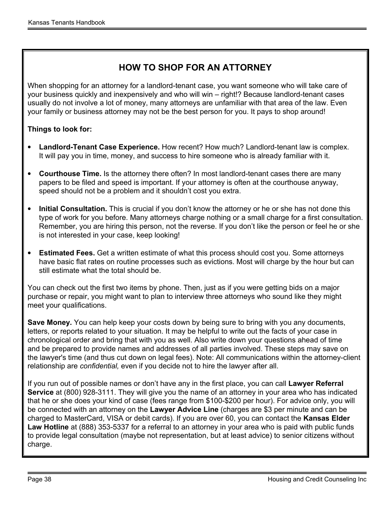#### HOW TO SHOP FOR AN ATTORNEY

When shopping for an attorney for a landlord-tenant case, you want someone who will take care of your business quickly and inexpensively and who will win – right!? Because landlord-tenant cases usually do not involve a lot of money, many attorneys are unfamiliar with that area of the law. Even your family or business attorney may not be the best person for you. It pays to shop around!

#### Things to look for:

- Landlord-Tenant Case Experience. How recent? How much? Landlord-tenant law is complex. It will pay you in time, money, and success to hire someone who is already familiar with it.
- Courthouse Time. Is the attorney there often? In most landlord-tenant cases there are many papers to be filed and speed is important. If your attorney is often at the courthouse anyway, speed should not be a problem and it shouldn't cost you extra.
- Initial Consultation. This is crucial if you don't know the attorney or he or she has not done this type of work for you before. Many attorneys charge nothing or a small charge for a first consultation. Remember, you are hiring this person, not the reverse. If you don't like the person or feel he or she is not interested in your case, keep looking!
- Estimated Fees. Get a written estimate of what this process should cost you. Some attorneys have basic flat rates on routine processes such as evictions. Most will charge by the hour but can still estimate what the total should be.

You can check out the first two items by phone. Then, just as if you were getting bids on a major purchase or repair, you might want to plan to interview three attorneys who sound like they might meet your qualifications.

Save Money. You can help keep your costs down by being sure to bring with you any documents, letters, or reports related to your situation. It may be helpful to write out the facts of your case in chronological order and bring that with you as well. Also write down your questions ahead of time and be prepared to provide names and addresses of all parties involved. These steps may save on the lawyer's time (and thus cut down on legal fees). Note: All communications within the attorney-client relationship are confidential, even if you decide not to hire the lawyer after all.

If you run out of possible names or don't have any in the first place, you can call Lawyer Referral Service at (800) 928-3111. They will give you the name of an attorney in your area who has indicated that he or she does your kind of case (fees range from \$100-\$200 per hour). For advice only, you will be connected with an attorney on the Lawyer Advice Line (charges are \$3 per minute and can be charged to MasterCard, VISA or debit cards). If you are over 60, you can contact the Kansas Elder Law Hotline at (888) 353-5337 for a referral to an attorney in your area who is paid with public funds to provide legal consultation (maybe not representation, but at least advice) to senior citizens without charge.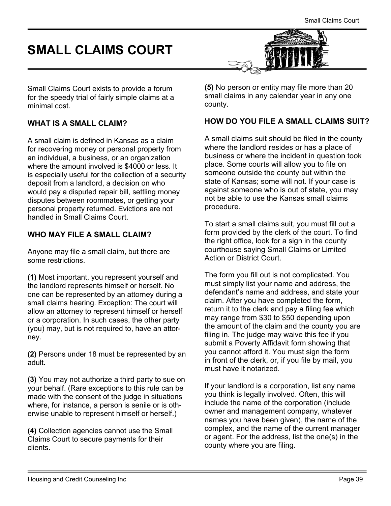# <span id="page-38-0"></span>SMALL CLAIMS COURT



Small Claims Court exists to provide a forum for the speedy trial of fairly simple claims at a minimal cost.

#### WHAT IS A SMALL CLAIM?

A small claim is defined in Kansas as a claim for recovering money or personal property from an individual, a business, or an organization where the amount involved is \$4000 or less. It is especially useful for the collection of a security deposit from a landlord, a decision on who would pay a disputed repair bill, settling money disputes between roommates, or getting your personal property returned. Evictions are not handled in Small Claims Court.

#### WHO MAY FILE A SMALL CLAIM?

Anyone may file a small claim, but there are some restrictions.

(1) Most important, you represent yourself and the landlord represents himself or herself. No one can be represented by an attorney during a small claims hearing. Exception: The court will allow an attorney to represent himself or herself or a corporation. In such cases, the other party (you) may, but is not required to, have an attorney.

(2) Persons under 18 must be represented by an adult.

(3) You may not authorize a third party to sue on your behalf. (Rare exceptions to this rule can be made with the consent of the judge in situations where, for instance, a person is senile or is otherwise unable to represent himself or herself.)

(4) Collection agencies cannot use the Small Claims Court to secure payments for their clients.

(5) No person or entity may file more than 20 small claims in any calendar year in any one county.

#### HOW DO YOU FILE A SMALL CLAIMS SUIT?

A small claims suit should be filed in the county where the landlord resides or has a place of business or where the incident in question took place. Some courts will allow you to file on someone outside the county but within the state of Kansas; some will not. If your case is against someone who is out of state, you may not be able to use the Kansas small claims procedure.

To start a small claims suit, you must fill out a form provided by the clerk of the court. To find the right office, look for a sign in the county courthouse saying Small Claims or Limited Action or District Court.

The form you fill out is not complicated. You must simply list your name and address, the defendant's name and address, and state your claim. After you have completed the form, return it to the clerk and pay a filing fee which may range from \$30 to \$50 depending upon the amount of the claim and the county you are filing in. The judge may waive this fee if you submit a Poverty Affidavit form showing that you cannot afford it. You must sign the form in front of the clerk, or, if you file by mail, you must have it notarized.

If your landlord is a corporation, list any name you think is legally involved. Often, this will include the name of the corporation (include owner and management company, whatever names you have been given), the name of the complex, and the name of the current manager or agent. For the address, list the one(s) in the county where you are filing.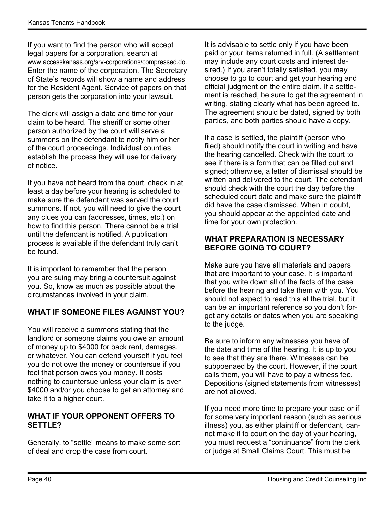If you want to find the person who will accept legal papers for a corporation, search at www.accesskansas.org/srv-corporations/compressed.do. Enter the name of the corporation. The Secretary of State's records will show a name and address for the Resident Agent. Service of papers on that person gets the corporation into your lawsuit.

The clerk will assign a date and time for your claim to be heard. The sheriff or some other person authorized by the court will serve a summons on the defendant to notify him or her of the court proceedings. Individual counties establish the process they will use for delivery of notice.

If you have not heard from the court, check in at least a day before your hearing is scheduled to make sure the defendant was served the court summons. If not, you will need to give the court any clues you can (addresses, times, etc.) on how to find this person. There cannot be a trial until the defendant is notified. A publication process is available if the defendant truly can't be found.

It is important to remember that the person you are suing may bring a countersuit against you. So, know as much as possible about the circumstances involved in your claim.

#### WHAT IF SOMEONE FILES AGAINST YOU?

You will receive a summons stating that the landlord or someone claims you owe an amount of money up to \$4000 for back rent, damages, or whatever. You can defend yourself if you feel you do not owe the money or countersue if you feel that person owes you money. It costs nothing to countersue unless your claim is over \$4000 and/or you choose to get an attorney and take it to a higher court.

#### WHAT IF YOUR OPPONENT OFFERS TO SETTLE?

Generally, to "settle" means to make some sort of deal and drop the case from court.

It is advisable to settle only if you have been paid or your items returned in full. (A settlement may include any court costs and interest desired.) If you aren't totally satisfied, you may choose to go to court and get your hearing and official judgment on the entire claim. If a settlement is reached, be sure to get the agreement in writing, stating clearly what has been agreed to. The agreement should be dated, signed by both parties, and both parties should have a copy.

If a case is settled, the plaintiff (person who filed) should notify the court in writing and have the hearing cancelled. Check with the court to see if there is a form that can be filled out and signed; otherwise, a letter of dismissal should be written and delivered to the court. The defendant should check with the court the day before the scheduled court date and make sure the plaintiff did have the case dismissed. When in doubt, you should appear at the appointed date and time for your own protection.

#### WHAT PREPARATION IS NECESSARY BEFORE GOING TO COURT?

Make sure you have all materials and papers that are important to your case. It is important that you write down all of the facts of the case before the hearing and take them with you. You should not expect to read this at the trial, but it can be an important reference so you don't forget any details or dates when you are speaking to the judge.

Be sure to inform any witnesses you have of the date and time of the hearing. It is up to you to see that they are there. Witnesses can be subpoenaed by the court. However, if the court calls them, you will have to pay a witness fee. Depositions (signed statements from witnesses) are not allowed.

If you need more time to prepare your case or if for some very important reason (such as serious illness) you, as either plaintiff or defendant, cannot make it to court on the day of your hearing, you must request a "continuance" from the clerk or judge at Small Claims Court. This must be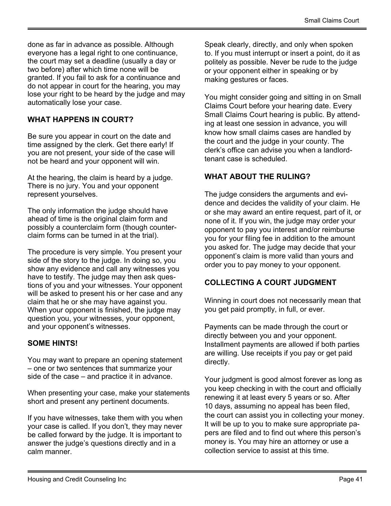done as far in advance as possible. Although everyone has a legal right to one continuance, the court may set a deadline (usually a day or two before) after which time none will be granted. If you fail to ask for a continuance and do not appear in court for the hearing, you may lose your right to be heard by the judge and may automatically lose your case.

#### WHAT HAPPENS IN COURT?

Be sure you appear in court on the date and time assigned by the clerk. Get there early! If you are not present, your side of the case will not be heard and your opponent will win.

At the hearing, the claim is heard by a judge. There is no jury. You and your opponent represent yourselves.

The only information the judge should have ahead of time is the original claim form and possibly a counterclaim form (though counterclaim forms can be turned in at the trial).

The procedure is very simple. You present your side of the story to the judge. In doing so, you show any evidence and call any witnesses you have to testify. The judge may then ask questions of you and your witnesses. Your opponent will be asked to present his or her case and any claim that he or she may have against you. When your opponent is finished, the judge may question you, your witnesses, your opponent, and your opponent's witnesses.

#### SOME HINTS!

You may want to prepare an opening statement – one or two sentences that summarize your side of the case – and practice it in advance.

When presenting your case, make your statements short and present any pertinent documents.

If you have witnesses, take them with you when your case is called. If you don't, they may never be called forward by the judge. It is important to answer the judge's questions directly and in a calm manner.

Speak clearly, directly, and only when spoken to. If you must interrupt or insert a point, do it as politely as possible. Never be rude to the judge or your opponent either in speaking or by making gestures or faces.

You might consider going and sitting in on Small Claims Court before your hearing date. Every Small Claims Court hearing is public. By attending at least one session in advance, you will know how small claims cases are handled by the court and the judge in your county. The clerk's office can advise you when a landlordtenant case is scheduled.

#### WHAT ABOUT THE RULING?

The judge considers the arguments and evidence and decides the validity of your claim. He or she may award an entire request, part of it, or none of it. If you win, the judge may order your opponent to pay you interest and/or reimburse you for your filing fee in addition to the amount you asked for. The judge may decide that your opponent's claim is more valid than yours and order you to pay money to your opponent.

#### COLLECTING A COURT JUDGMENT

Winning in court does not necessarily mean that you get paid promptly, in full, or ever.

Payments can be made through the court or directly between you and your opponent. Installment payments are allowed if both parties are willing. Use receipts if you pay or get paid directly.

Your judgment is good almost forever as long as you keep checking in with the court and officially renewing it at least every 5 years or so. After 10 days, assuming no appeal has been filed, the court can assist you in collecting your money. It will be up to you to make sure appropriate papers are filed and to find out where this person's money is. You may hire an attorney or use a collection service to assist at this time.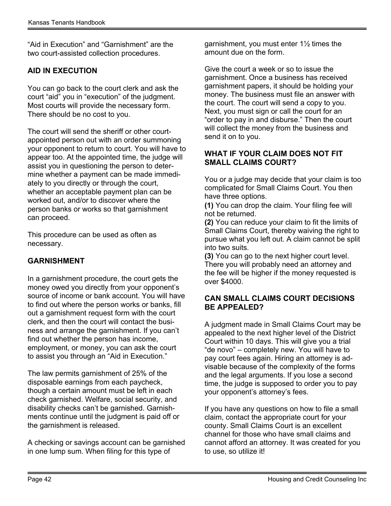"Aid in Execution" and "Garnishment" are the two court-assisted collection procedures.

#### AID IN EXECUTION

You can go back to the court clerk and ask the court "aid" you in "execution" of the judgment. Most courts will provide the necessary form. There should be no cost to you.

The court will send the sheriff or other courtappointed person out with an order summoning your opponent to return to court. You will have to appear too. At the appointed time, the judge will assist you in questioning the person to determine whether a payment can be made immediately to you directly or through the court, whether an acceptable payment plan can be worked out, and/or to discover where the person banks or works so that garnishment can proceed.

This procedure can be used as often as necessary.

#### GARNISHMENT

In a garnishment procedure, the court gets the money owed you directly from your opponent's source of income or bank account. You will have to find out where the person works or banks, fill out a garnishment request form with the court clerk, and then the court will contact the business and arrange the garnishment. If you can't find out whether the person has income, employment, or money, you can ask the court to assist you through an "Aid in Execution."

The law permits garnishment of 25% of the disposable earnings from each paycheck, though a certain amount must be left in each check garnished. Welfare, social security, and disability checks can't be garnished. Garnishments continue until the judgment is paid off or the garnishment is released.

A checking or savings account can be garnished in one lump sum. When filing for this type of

garnishment, you must enter 1½ times the amount due on the form.

Give the court a week or so to issue the garnishment. Once a business has received garnishment papers, it should be holding your money. The business must file an answer with the court. The court will send a copy to you. Next, you must sign or call the court for an "order to pay in and disburse." Then the court will collect the money from the business and send it on to you.

#### WHAT IF YOUR CLAIM DOES NOT FIT SMALL CLAIMS COURT?

You or a judge may decide that your claim is too complicated for Small Claims Court. You then have three options.

(1) You can drop the claim. Your filing fee will not be returned.

(2) You can reduce your claim to fit the limits of Small Claims Court, thereby waiving the right to pursue what you left out. A claim cannot be split into two suits.

(3) You can go to the next higher court level. There you will probably need an attorney and the fee will be higher if the money requested is over \$4000.

#### CAN SMALL CLAIMS COURT DECISIONS BE APPEALED?

A judgment made in Small Claims Court may be appealed to the next higher level of the District Court within 10 days. This will give you a trial "de novo" – completely new. You will have to pay court fees again. Hiring an attorney is advisable because of the complexity of the forms and the legal arguments. If you lose a second time, the judge is supposed to order you to pay your opponent's attorney's fees.

If you have any questions on how to file a small claim, contact the appropriate court for your county. Small Claims Court is an excellent channel for those who have small claims and cannot afford an attorney. It was created for you to use, so utilize it!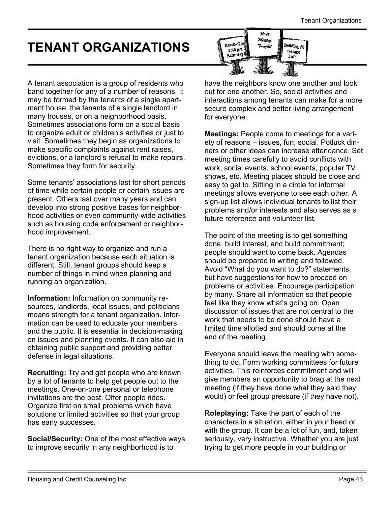# <span id="page-42-0"></span>TENANT ORGANIZATIONS

 $R$  and .<br>Meeting Bar-B-Q .<br><sup>Baildi</sup>ng #3 .<br>Taniahi! 5:30 pm Garage Saturday! **Sala** 

A tenant association is a group of residents who band together for any of a number of reasons. It may be formed by the tenants of a single apartment house, the tenants of a single landlord in many houses, or on a neighborhood basis. Sometimes associations form on a social basis to organize adult or children's activities or just to visit. Sometimes they begin as organizations to make specific complaints against rent raises, evictions, or a landlord's refusal to make repairs. Sometimes they form for security.

Some tenants' associations last for short periods of time while certain people or certain issues are present. Others last over many years and can develop into strong positive bases for neighborhood activities or even community-wide activities such as housing code enforcement or neighborhood improvement.

There is no right way to organize and run a tenant organization because each situation is different. Still, tenant groups should keep a number of things in mind when planning and running an organization.

Information: Information on community resources, landlords, local issues, and politicians means strength for a tenant organization. Information can be used to educate your members and the public. It is essential in decision-making on issues and planning events. It can also aid in obtaining public support and providing better defense in legal situations.

Recruiting: Try and get people who are known by a lot of tenants to help get people out to the meetings. One-on-one personal or telephone invitations are the best. Offer people rides. Organize first on small problems which have solutions or limited activities so that your group has early successes.

Social/Security: One of the most effective ways to improve security in any neighborhood is to

have the neighbors know one another and look out for one another. So, social activities and interactions among tenants can make for a more secure complex and better living arrangement for everyone.

Meetings: People come to meetings for a variety of reasons – issues, fun, social. Potluck dinners or other ideas can increase attendance. Set meeting times carefully to avoid conflicts with work, social events, school events, popular TV shows, etc. Meeting places should be close and easy to get to. Sitting in a circle for informal meetings allows everyone to see each other. A sign-up list allows individual tenants to list their problems and/or interests and also serves as a future reference and volunteer list.

The point of the meeting is to get something done, build interest, and build commitment; people should want to come back. Agendas should be prepared in writing and followed. Avoid "What do you want to do?" statements, but have suggestions for how to proceed on problems or activities. Encourage participation by many. Share all information so that people feel like they know what's going on. Open discussion of issues that are not central to the work that needs to be done should have a limited time allotted and should come at the end of the meeting.

Everyone should leave the meeting with something to do. Form working committees for future activities. This reinforces commitment and will give members an opportunity to brag at the next meeting (if they have done what they said they would) or feel group pressure (if they have not).

Roleplaying: Take the part of each of the characters in a situation, either in your head or with the group. It can be a lot of fun, and, taken seriously, very instructive. Whether you are just trying to get more people in your building or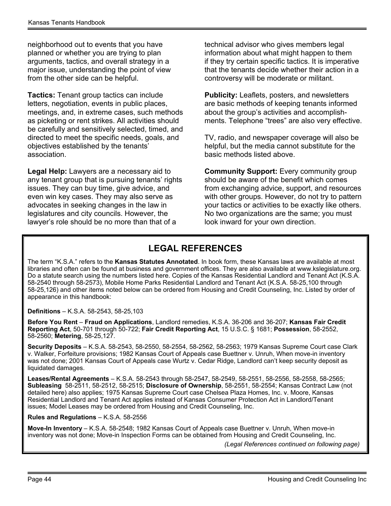<span id="page-43-0"></span>neighborhood out to events that you have planned or whether you are trying to plan arguments, tactics, and overall strategy in a major issue, understanding the point of view from the other side can be helpful.

Tactics: Tenant group tactics can include letters, negotiation, events in public places, meetings, and, in extreme cases, such methods as picketing or rent strikes. All activities should be carefully and sensitively selected, timed, and directed to meet the specific needs, goals, and objectives established by the tenants' association.

Legal Help: Lawyers are a necessary aid to any tenant group that is pursuing tenants' rights issues. They can buy time, give advice, and even win key cases. They may also serve as advocates in seeking changes in the law in legislatures and city councils. However, the lawyer's role should be no more than that of a

technical advisor who gives members legal information about what might happen to them if they try certain specific tactics. It is imperative that the tenants decide whether their action in a controversy will be moderate or militant.

Publicity: Leaflets, posters, and newsletters are basic methods of keeping tenants informed about the group's activities and accomplishments. Telephone "trees" are also very effective.

TV, radio, and newspaper coverage will also be helpful, but the media cannot substitute for the basic methods listed above.

Community Support: Every community group should be aware of the benefit which comes from exchanging advice, support, and resources with other groups. However, do not try to pattern your tactics or activities to be exactly like others. No two organizations are the same; you must look inward for your own direction.

#### LEGAL REFERENCES

The term "K.S.A." refers to the Kansas Statutes Annotated. In book form, these Kansas laws are available at most libraries and often can be found at business and government offices. They are also available at www.kslegislature.org. Do a statute search using the numbers listed here. Copies of the Kansas Residential Landlord and Tenant Act (K.S.A. 58-2540 through 58-2573), Mobile Home Parks Residential Landlord and Tenant Act (K.S.A. 58-25,100 through 58-25,126) and other items noted below can be ordered from Housing and Credit Counseling, Inc. Listed by order of appearance in this handbook:

Definitions – K.S.A. 58-2543, 58-25,103

Before You Rent – Fraud on Applications, Landlord remedies, K.S.A. 36-206 and 36-207; Kansas Fair Credit Reporting Act, 50-701 through 50-722; Fair Credit Reporting Act, 15 U.S.C. § 1681; Possession, 58-2552, 58-2560; Metering, 58-25,127.

Security Deposits – K.S.A. 58-2543, 58-2550, 58-2554, 58-2562, 58-2563; 1979 Kansas Supreme Court case Clark v. Walker, Forfeiture provisions; 1982 Kansas Court of Appeals case Buettner v. Unruh, When move-in inventory was not done; 2001 Kansas Court of Appeals case Wurtz v. Cedar Ridge, Landlord can't keep security deposit as liquidated damages.

Leases/Rental Agreements – K.S.A. 58-2543 through 58-2547, 58-2549, 58-2551, 58-2556, 58-2558, 58-2565; Subleasing 58-2511, 58-2512, 58-2515; Disclosure of Ownership, 58-2551, 58-2554; Kansas Contract Law (not detailed here) also applies; 1975 Kansas Supreme Court case Chelsea Plaza Homes, Inc. v. Moore, Kansas Residential Landlord and Tenant Act applies instead of Kansas Consumer Protection Act in Landlord/Tenant issues; Model Leases may be ordered from Housing and Credit Counseling, Inc.

Rules and Regulations – K.S.A. 58-2556

Move-In Inventory – K.S.A. 58-2548; 1982 Kansas Court of Appeals case Buettner v. Unruh, When move-in inventory was not done; Move-in Inspection Forms can be obtained from Housing and Credit Counseling, Inc.

(Legal References continued on following page)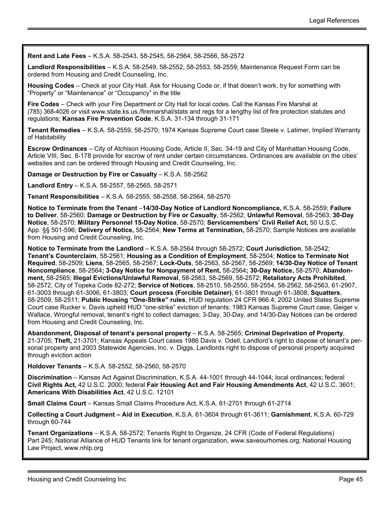Rent and Late Fees – K.S.A. 58-2543, 58-2545, 58-2564, 58-2566, 58-2572

Landlord Responsibilities – K.S.A. 58-2549, 58-2552, 58-2553, 58-2559; Maintenance Request Form can be ordered from Housing and Credit Counseling, Inc.

Housing Codes – Check at your City Hall. Ask for Housing Code or, if that doesn't work, try for something with "Property" or "Maintenance" or "Occupancy" in the title

Fire Codes – Check with your Fire Department or City Hall for local codes. Call the Kansas Fire Marshal at (785) 368-4026 or visit www.state.ks.us./firemarshal/stats and regs for a lengthy list of fire protection statutes and regulations; Kansas Fire Prevention Code, K.S.A. 31-134 through 31-171

Tenant Remedies – K.S.A. 58-2559, 58-2570; 1974 Kansas Supreme Court case Steele v. Latimer, Implied Warranty of Habitability

Escrow Ordinances – City of Atchison Housing Code, Article II, Sec. 34-19 and City of Manhattan Housing Code, Article VIII, Sec. 8-178 provide for escrow of rent under certain circumstances. Ordinances are available on the cities' websites and can be ordered through Housing and Credit Counseling, Inc.

Damage or Destruction by Fire or Casualty – K.S.A. 58-2562

Landlord Entry – K.S.A. 58-2557, 58-2565, 58-2571

Tenant Responsibilities – K.S.A. 58-2555, 58-2558, 58-2564, 58-2570

Notice to Terminate from the Tenant –14/30-Day Notice of Landlord Noncompliance, K.S.A. 58-2559; Failure to Deliver, 58-2560; Damage or Destruction by Fire or Casualty, 58-2562; Unlawful Removal, 58-2563; 30-Day Notice, 58-2570; Military Personnel 15-Day Notice, 58-2570; Servicemembers' Civil Relief Act, 50 U.S.C. App. §§ 501-596; Delivery of Notice, 58-2564; New Terms at Termination, 58-2570; Sample Notices are available from Housing and Credit Counseling, Inc.

Notice to Terminate from the Landlord – K.S.A. 58-2564 through 58-2572; Court Jurisdiction, 58-2542; Tenant's Counterclaim, 58-2561; Housing as a Condition of Employment, 58-2504; Notice to Terminate Not Required, 58-2509; Liens, 58-2565, 58-2567; Lock-Outs, 58-2563, 58-2567, 58-2569; 14/30-Day Notice of Tenant Noncompliance, 58-2564; 3-Day Notice for Nonpayment of Rent, 58-2564; 30-Day Notice, 58-2570; Abandonment, 58-2565; Illegal Evictions/Unlawful Removal, 58-2563, 58-2569, 58-2572; Retaliatory Acts Prohibited, 58-2572, City of Topeka Code 82-272; Service of Notices, 58-2510, 58-2550, 58-2554, 58-2562, 58-2563, 61-2907, 61-3003 through 61-3006, 61-3803; Court process (Forcible Detainer), 61-3801 through 61-3808; Squatters, 58-2509, 58-2511; Public Housing "One-Strike" rules, HUD regulation 24 CFR 966.4; 2002 United States Supreme Court case Rucker v. Davis upheld HUD "one-strike" eviction of tenants; 1983 Kansas Supreme Court case, Geiger v. Wallace, Wrongful removal, tenant's right to collect damages; 3-Day, 30-Day, and 14/30-Day Notices can be ordered from Housing and Credit Counseling, Inc.

Abandonment, Disposal of tenant's personal property – K.S.A. 58-2565; Criminal Deprivation of Property, 21-3705; Theft, 21-3701; Kansas Appeals Court cases 1986 Davis v. Odell, Landlord's right to dispose of tenant's personal property and 2003 Statewide Agencies, Inc. v. Diggs, Landlords right to dispose of personal property acquired through eviction action

Holdover Tenants – K.S.A. 58-2552, 58-2560, 58-2570

Discrimination – Kansas Act Against Discrimination, K.S.A. 44-1001 through 44-1044; local ordinances; federal Civil Rights Act, 42 U.S.C. 2000; federal Fair Housing Act and Fair Housing Amendments Act, 42 U.S.C. 3601; Americans With Disabilities Act, 42 U.S.C. 12101

Small Claims Court – Kansas Small Claims Procedure Act, K.S.A. 61-2701 through 61-2714

Collecting a Court Judgment – Aid in Execution, K.S.A. 61-3604 through 61-3611; Garnishment, K.S.A. 60-729 through 60-744

Tenant Organizations – K.S.A. 58-2572; Tenants Right to Organize, 24 CFR (Code of Federal Regulations) Part 245; National Alliance of HUD Tenants link for tenant organization, www.saveourhomes.org; National Housing Law Project, www.nhlp.org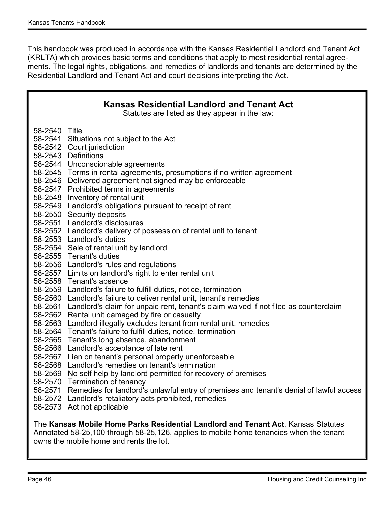This handbook was produced in accordance with the Kansas Residential Landlord and Tenant Act (KRLTA) which provides basic terms and conditions that apply to most residential rental agreements. The legal rights, obligations, and remedies of landlords and tenants are determined by the Residential Landlord and Tenant Act and court decisions interpreting the Act.

| <b>Kansas Residential Landlord and Tenant Act</b><br>Statutes are listed as they appear in the law: |                                                                                                                                                                                                                                                                                                                                                                                                                                                                                                                                                                                                                                                                                                                                                                                                                                                                                                                                                                                                                                                                                                                                                                                                                                                                                                                                                                                                                                                                                                               |  |
|-----------------------------------------------------------------------------------------------------|---------------------------------------------------------------------------------------------------------------------------------------------------------------------------------------------------------------------------------------------------------------------------------------------------------------------------------------------------------------------------------------------------------------------------------------------------------------------------------------------------------------------------------------------------------------------------------------------------------------------------------------------------------------------------------------------------------------------------------------------------------------------------------------------------------------------------------------------------------------------------------------------------------------------------------------------------------------------------------------------------------------------------------------------------------------------------------------------------------------------------------------------------------------------------------------------------------------------------------------------------------------------------------------------------------------------------------------------------------------------------------------------------------------------------------------------------------------------------------------------------------------|--|
| 58-2540 Title<br>58-2561<br>58-2562<br>58-2569                                                      | 58-2541 Situations not subject to the Act<br>58-2542 Court jurisdiction<br>58-2543 Definitions<br>58-2544 Unconscionable agreements<br>58-2545 Terms in rental agreements, presumptions if no written agreement<br>58-2546 Delivered agreement not signed may be enforceable<br>58-2547 Prohibited terms in agreements<br>58-2548 Inventory of rental unit<br>58-2549 Landlord's obligations pursuant to receipt of rent<br>58-2550 Security deposits<br>58-2551 Landlord's disclosures<br>58-2552 Landlord's delivery of possession of rental unit to tenant<br>58-2553 Landlord's duties<br>58-2554 Sale of rental unit by landlord<br>58-2555 Tenant's duties<br>58-2556 Landlord's rules and regulations<br>58-2557 Limits on landlord's right to enter rental unit<br>58-2558 Tenant's absence<br>58-2559 Landlord's failure to fulfill duties, notice, termination<br>58-2560 Landlord's failure to deliver rental unit, tenant's remedies<br>Landlord's claim for unpaid rent, tenant's claim waived if not filed as counterclaim<br>Rental unit damaged by fire or casualty<br>58-2563 Landlord illegally excludes tenant from rental unit, remedies<br>58-2564 Tenant's failure to fulfill duties, notice, termination<br>58-2565 Tenant's long absence, abandonment<br>58-2566 Landlord's acceptance of late rent<br>58-2567 Lien on tenant's personal property unenforceable<br>58-2568 Landlord's remedies on tenant's termination<br>No self help by landlord permitted for recovery of premises |  |
| 58-2571                                                                                             | 58-2570 Termination of tenancy<br>Remedies for landlord's unlawful entry of premises and tenant's denial of lawful access<br>58-2572 Landlord's retaliatory acts prohibited, remedies<br>58-2573 Act not applicable                                                                                                                                                                                                                                                                                                                                                                                                                                                                                                                                                                                                                                                                                                                                                                                                                                                                                                                                                                                                                                                                                                                                                                                                                                                                                           |  |
|                                                                                                     | The Kansas Mobile Home Parks Residential Landlord and Tenant Act, Kansas Statutes<br>Annotated 58-25,100 through 58-25,126, applies to mobile home tenancies when the tenant<br>owns the mobile home and rents the lot.                                                                                                                                                                                                                                                                                                                                                                                                                                                                                                                                                                                                                                                                                                                                                                                                                                                                                                                                                                                                                                                                                                                                                                                                                                                                                       |  |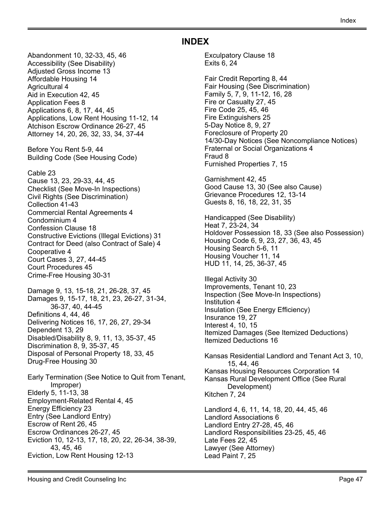#### INDEX

<span id="page-46-0"></span>Abandonment 10, 32-33, 45, 46 Accessibility (See Disability) Adjusted Gross Income 13 Affordable Housing 14 Agricultural 4 Aid in Execution 42, 45 Application Fees 8 Applications 6, 8, 17, 44, 45 Applications, Low Rent Housing 11-12, 14 Atchison Escrow Ordinance 26-27, 45 Attorney 14, 20, 26, 32, 33, 34, 37-44 Before You Rent 5-9, 44 Building Code (See Housing Code)

Cable 23 Cause 13, 23, 29-33, 44, 45 Checklist (See Move-In Inspections) Civil Rights (See Discrimination) Collection 41-43 Commercial Rental Agreements 4

Condominium 4 Confession Clause 18 Constructive Evictions (Illegal Evictions) 31 Contract for Deed (also Contract of Sale) 4 Cooperative 4 Court Cases 3, 27, 44-45 Court Procedures 45 Crime-Free Housing 30-31

Damage 9, 13, 15-18, 21, 26-28, 37, 45 Damages 9, 15-17, 18, 21, 23, 26-27, 31-34, 36-37, 40, 44-45 Definitions 4, 44, 46 Delivering Notices 16, 17, 26, 27, 29-34 Dependent 13, 29 Disabled/Disability 8, 9, 11, 13, 35-37, 45 Discrimination 8, 9, 35-37, 45 Disposal of Personal Property 18, 33, 45 Drug-Free Housing 30

Early Termination (See Notice to Quit from Tenant, Improper) Elderly 5, 11-13, 38 Employment-Related Rental 4, 45 Energy Efficiency 23 Entry (See Landlord Entry) Escrow of Rent 26, 45 Escrow Ordinances 26-27, 45 Eviction 10, 12-13, 17, 18, 20, 22, 26-34, 38-39, 43, 45, 46 Eviction, Low Rent Housing 12-13

Exculpatory Clause 18 Exits 6, 24

Fair Credit Reporting 8, 44 Fair Housing (See Discrimination) Family 5, 7, 9, 11-12, 16, 28 Fire or Casualty 27, 45 Fire Code 25, 45, 46 Fire Extinguishers 25 5-Day Notice 8, 9, 27 Foreclosure of Property 20 14/30-Day Notices (See Noncompliance Notices) Fraternal or Social Organizations 4 Fraud 8 Furnished Properties 7, 15

Garnishment 42, 45 Good Cause 13, 30 (See also Cause) Grievance Procedures 12, 13-14 Guests 8, 16, 18, 22, 31, 35

Handicapped (See Disability) Heat 7, 23-24, 34 Holdover Possession 18, 33 (See also Possession) Housing Code 6, 9, 23, 27, 36, 43, 45 Housing Search 5-6, 11 Housing Voucher 11, 14 HUD 11, 14, 25, 36-37, 45

Illegal Activity 30 Improvements, Tenant 10, 23 Inspection (See Move-In Inspections) Institution 4 Insulation (See Energy Efficiency) Insurance 19, 27 Interest 4, 10, 15 Itemized Damages (See Itemized Deductions) Itemized Deductions 16

Kansas Residential Landlord and Tenant Act 3, 10, 15, 44, 46 Kansas Housing Resources Corporation 14 Kansas Rural Development Office (See Rural Development) Kitchen 7, 24

Landlord 4, 6, 11, 14, 18, 20, 44, 45, 46 Landlord Associations 6 Landlord Entry 27-28, 45, 46 Landlord Responsibilities 23-25, 45, 46 Late Fees 22, 45 Lawyer (See Attorney) Lead Paint 7, 25